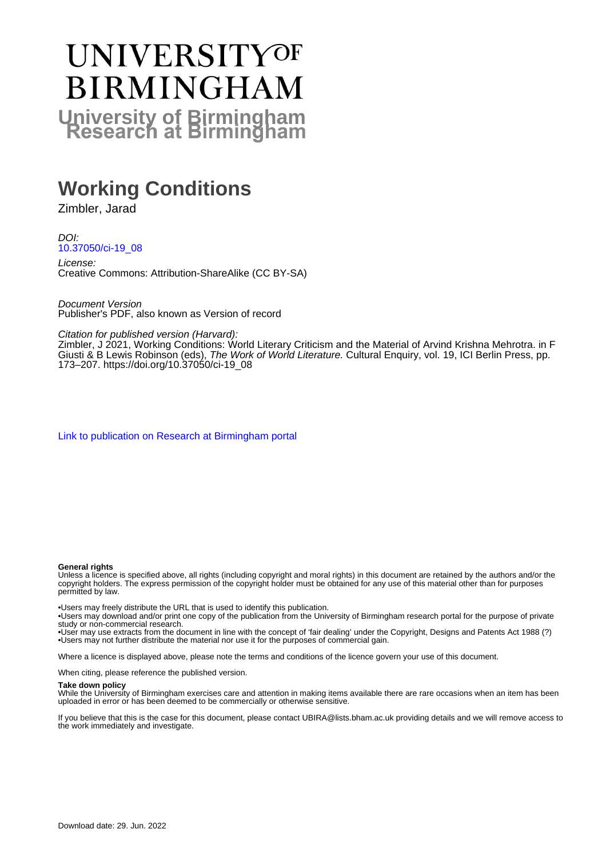# **UNIVERSITYOF BIRMINGHAM University of Birmingham**

## **Working Conditions**

Zimbler, Jarad

#### DOI: [10.37050/ci-19\\_08](https://doi.org/10.37050/ci-19_08)

License: Creative Commons: Attribution-ShareAlike (CC BY-SA)

Document Version Publisher's PDF, also known as Version of record

Citation for published version (Harvard):

Zimbler, J 2021, Working Conditions: World Literary Criticism and the Material of Arvind Krishna Mehrotra. in F Giusti & B Lewis Robinson (eds), The Work of World Literature. Cultural Enquiry, vol. 19, ICI Berlin Press, pp. 173–207. [https://doi.org/10.37050/ci-19\\_08](https://doi.org/10.37050/ci-19_08)

[Link to publication on Research at Birmingham portal](https://birmingham.elsevierpure.com/en/publications/31a90e35-4c56-4ab3-acb3-0a2f9fee9c0a)

#### **General rights**

Unless a licence is specified above, all rights (including copyright and moral rights) in this document are retained by the authors and/or the copyright holders. The express permission of the copyright holder must be obtained for any use of this material other than for purposes permitted by law.

• Users may freely distribute the URL that is used to identify this publication.

• Users may download and/or print one copy of the publication from the University of Birmingham research portal for the purpose of private study or non-commercial research.

• User may use extracts from the document in line with the concept of 'fair dealing' under the Copyright, Designs and Patents Act 1988 (?) • Users may not further distribute the material nor use it for the purposes of commercial gain.

Where a licence is displayed above, please note the terms and conditions of the licence govern your use of this document.

When citing, please reference the published version.

#### **Take down policy**

While the University of Birmingham exercises care and attention in making items available there are rare occasions when an item has been uploaded in error or has been deemed to be commercially or otherwise sensitive.

If you believe that this is the case for this document, please contact UBIRA@lists.bham.ac.uk providing details and we will remove access to the work immediately and investigate.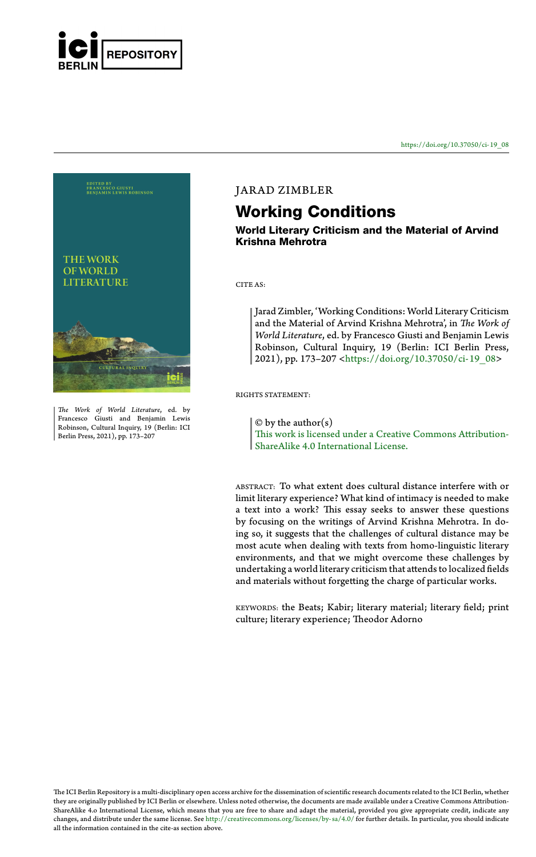



*The Work of World Literature*, ed. by Francesco Giusti and Benjamin Lewis Robinson, Cultural Inquiry, 19 (Berlin: ICI Berlin Press, 2021), pp. 173–207

#### JARAD ZIMBLER

#### **Working Conditions**

#### **World Literary Criticism and the Material of Arvind Krishna Mehrotra**

CITE AS:

Jarad Zimbler, 'Working Conditions: World Literary Criticism and the Material of Arvind Krishna Mehrotra', in *The Work of World Literature*, ed. by Francesco Giusti and Benjamin Lewis Robinson, Cultural Inquiry, 19 (Berlin: ICI Berlin Press, 2021), pp. 173–207 <[https://doi.org/10.37050/ci-19\\_08](https://doi.org/10.37050/ci-19_08)>

RIGHTS STATEMENT:

 $\odot$  by the author(s) [This work is licensed under a Creative Commons Attribution-](http://creativecommons.org/licenses/by-sa/4.0/)[ShareAlike 4.0 International License.](http://creativecommons.org/licenses/by-sa/4.0/)

ABSTRACT: To what extent does cultural distance interfere with or limit literary experience? What kind of intimacy is needed to make a text into a work? This essay seeks to answer these questions by focusing on the writings of Arvind Krishna Mehrotra. In doing so, it suggests that the challenges of cultural distance may be most acute when dealing with texts from homo-linguistic literary environments, and that we might overcome these challenges by undertaking a world literary criticism that attends to localized fields and materials without forgetting the charge of particular works.

KEYWORDS: the Beats; Kabir; literary material; literary field; print culture; literary experience; Theodor Adorno

The ICI Berlin Repository is a multi-disciplinary open access archive for the dissemination of scientific research documents related to the ICI Berlin, whether they are originally published by ICI Berlin or elsewhere. Unless noted otherwise, the documents are made available under a Creative Commons Attribution-ShareAlike 4.o International License, which means that you are free to share and adapt the material, provided you give appropriate credit, indicate any changes, and distribute under the same license. See [http://creativecommons.org/licenses/by- sa/4.0/](http://creativecommons.org/licenses/by-sa/4.0/) for further details. In particular, you should indicate all the information contained in the cite-as section above.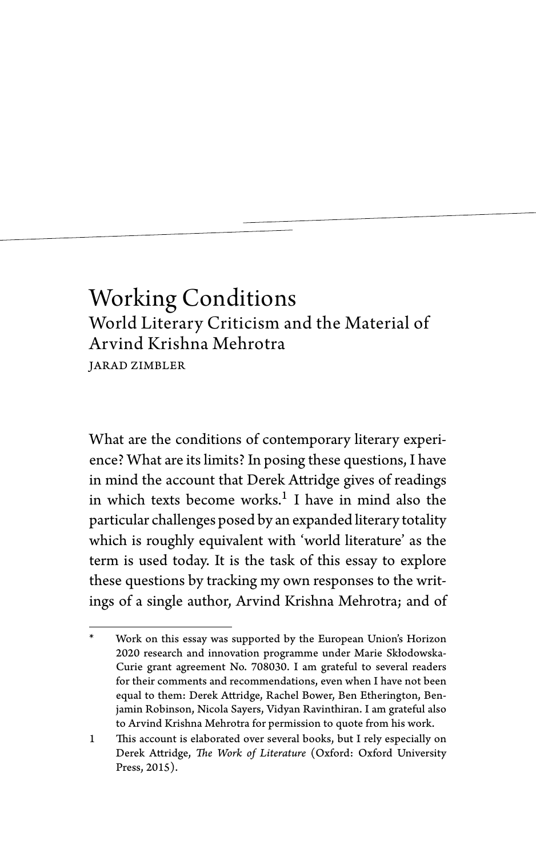### Working Conditions World Literary Criticism and the Material of Arvind Krishna Mehrotra JARAD ZIMBLER

What are the conditions of contemporary literary experience? What are its limits? In posing these questions, I have in mind the account that Derek Attridge gives of readings in which texts become works.<sup>1</sup> I have in mind also the particular challenges posed by an expanded literary totality which is roughly equivalent with 'world literature' as the term is used today. It is the task of this essay to explore these questions by tracking my own responses to the writings of a single author, Arvind Krishna Mehrotra; and of

Work on this essay was supported by the European Union's Horizon 2020 research and innovation programme under Marie Skłodowska-Curie grant agreement No. 708030. I am grateful to several readers for their comments and recommendations, even when I have not been equal to them: Derek Attridge, Rachel Bower, Ben Etherington, Benjamin Robinson, Nicola Sayers, Vidyan Ravinthiran. I am grateful also to Arvind Krishna Mehrotra for permission to quote from his work.

<sup>1</sup> This account is elaborated over several books, but I rely especially on Derek Attridge, *The Work of Literature* (Oxford: Oxford University Press, 2015).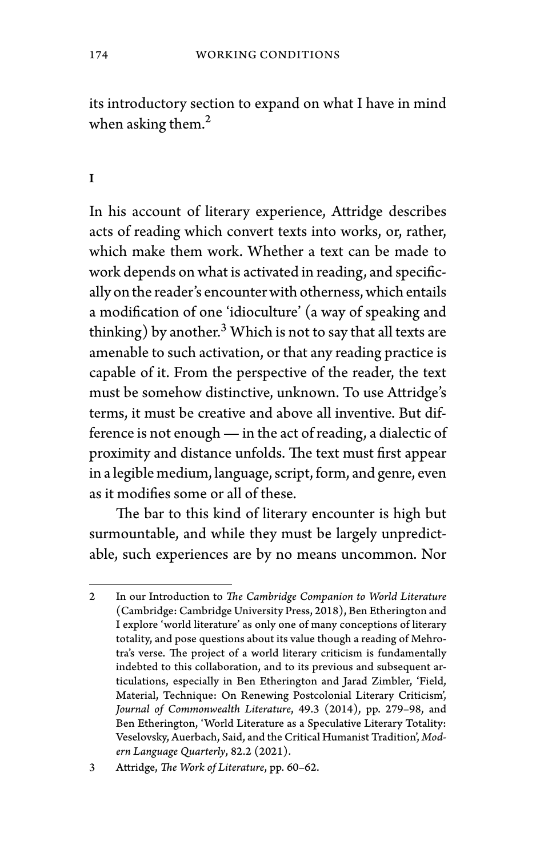its introductory section to expand on what I have in mind when asking them.<sup>2</sup>

#### I

In his account of literary experience, Attridge describes acts of reading which convert texts into works, or, rather, which make them work. Whether a text can be made to work depends on what is activated in reading, and specifically on the reader's encounter with otherness, which entails a modification of one 'idioculture' (a way of speaking and thinking) by another. $3$  Which is not to say that all texts are amenable to such activation, or that any reading practice is capable of it. From the perspective of the reader, the text must be somehow distinctive, unknown. To use Attridge's terms, it must be creative and above all inventive. But difference is not enough — in the act of reading, a dialectic of proximity and distance unfolds. The text must first appear in a legible medium, language, script, form, and genre, even as it modifies some or all of these.

The bar to this kind of literary encounter is high but surmountable, and while they must be largely unpredictable, such experiences are by no means uncommon. Nor

<sup>2</sup> In our Introduction to *The Cambridge Companion to World Literature* (Cambridge: Cambridge University Press, 2018), Ben Etherington and I explore 'world literature' as only one of many conceptions of literary totality, and pose questions about its value though a reading of Mehrotra's verse. The project of a world literary criticism is fundamentally indebted to this collaboration, and to its previous and subsequent articulations, especially in Ben Etherington and Jarad Zimbler, 'Field, Material, Technique: On Renewing Postcolonial Literary Criticism', *Journal of Commonwealth Literature*, 49.3 (2014), pp. 279–98, and Ben Etherington, 'World Literature as a Speculative Literary Totality: Veselovsky, Auerbach, Said, and the Critical Humanist Tradition', *Modern Language Quarterly*, 82.2 (2021).

<sup>3</sup> Attridge, *The Work of Literature*, pp. 60–62.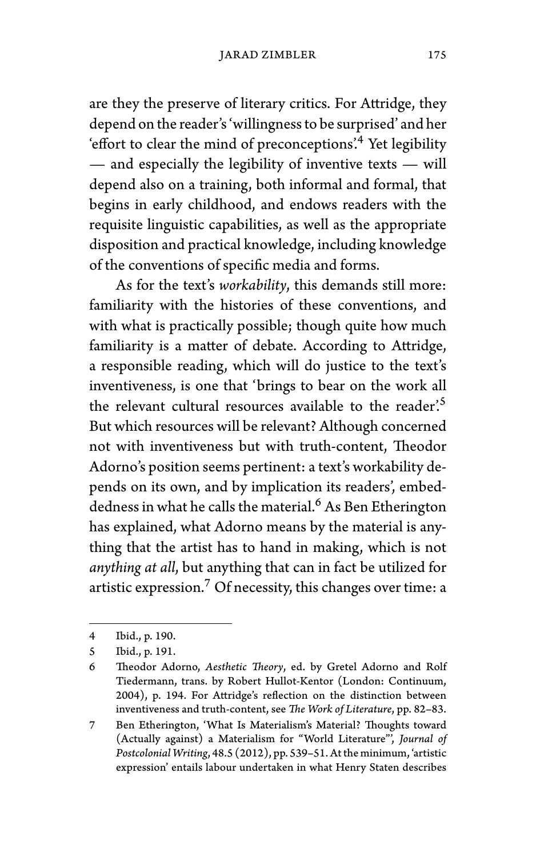are they the preserve of literary critics. For Attridge, they depend on the reader's 'willingness to be surprised' and her 'effort to clear the mind of preconceptions'.<sup>4</sup> Yet legibility — and especially the legibility of inventive texts — will depend also on a training, both informal and formal, that begins in early childhood, and endows readers with the requisite linguistic capabilities, as well as the appropriate disposition and practical knowledge, including knowledge of the conventions of specific media and forms.

As for the text's *workability*, this demands still more: familiarity with the histories of these conventions, and with what is practically possible; though quite how much familiarity is a matter of debate. According to Attridge, a responsible reading, which will do justice to the text's inventiveness, is one that 'brings to bear on the work all the relevant cultural resources available to the reader.<sup>5</sup> But which resources will be relevant? Although concerned not with inventiveness but with truth-content, Theodor Adorno's position seems pertinent: a text's workability depends on its own, and by implication its readers', embeddedness in what he calls the material.<sup>6</sup> As Ben Etherington has explained, what Adorno means by the material is anything that the artist has to hand in making, which is not *anything at all*, but anything that can in fact be utilized for artistic expression.<sup>7</sup> Of necessity, this changes over time: a

<sup>4</sup> Ibid., p. 190.

<sup>5</sup> Ibid., p. 191.

<sup>6</sup> Theodor Adorno, *Aesthetic Theory*, ed. by Gretel Adorno and Rolf Tiedermann, trans. by Robert Hullot-Kentor (London: Continuum, 2004), p. 194. For Attridge's reflection on the distinction between inventiveness and truth-content, see *The Work of Literature*, pp. 82–83.

<sup>7</sup> Ben Etherington, 'What Is Materialism's Material? Thoughts toward (Actually against) a Materialism for "World Literature"', *Journal of PostcolonialWriting*, 48.5 (2012), pp. 539–51. At the minimum, 'artistic expression' entails labour undertaken in what Henry Staten describes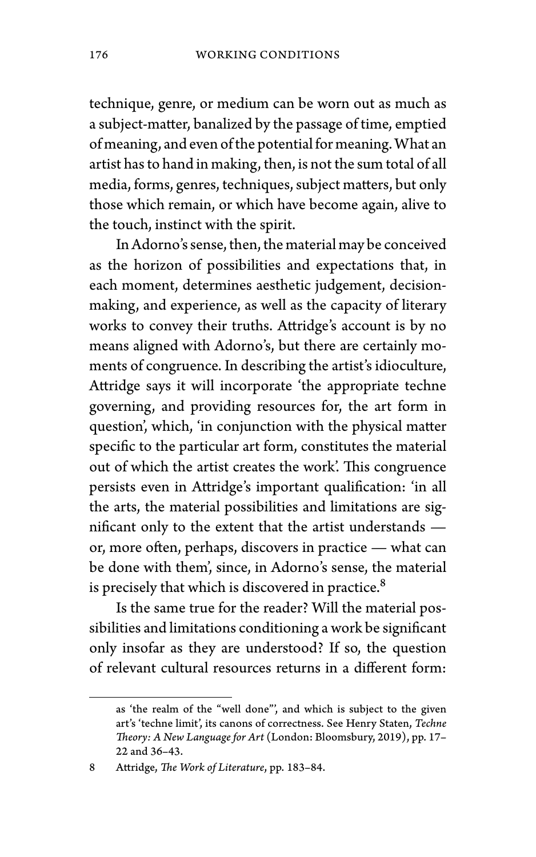technique, genre, or medium can be worn out as much as a subject-matter, banalized by the passage of time, emptied of meaning, and even of the potential for meaning.What an artist has to hand in making, then, is not the sum total of all media, forms, genres, techniques, subject matters, but only those which remain, or which have become again, alive to the touch, instinct with the spirit.

In Adorno's sense, then, the material may be conceived as the horizon of possibilities and expectations that, in each moment, determines aesthetic judgement, decisionmaking, and experience, as well as the capacity of literary works to convey their truths. Attridge's account is by no means aligned with Adorno's, but there are certainly moments of congruence. In describing the artist's idioculture, Attridge says it will incorporate 'the appropriate techne governing, and providing resources for, the art form in question', which, 'in conjunction with the physical matter specific to the particular art form, constitutes the material out of which the artist creates the work'. This congruence persists even in Attridge's important qualification: 'in all the arts, the material possibilities and limitations are significant only to the extent that the artist understands or, more often, perhaps, discovers in practice — what can be done with them', since, in Adorno's sense, the material is precisely that which is discovered in practice.<sup>8</sup>

Is the same true for the reader? Will the material possibilities and limitations conditioning a work be significant only insofar as they are understood? If so, the question of relevant cultural resources returns in a different form:

as 'the realm of the "well done"', and which is subject to the given art's 'techne limit', its canons of correctness. See Henry Staten, *Techne Theory: A New Language for Art* (London: Bloomsbury, 2019), pp. 17– 22 and 36–43.

<sup>8</sup> Attridge, *The Work of Literature*, pp. 183–84.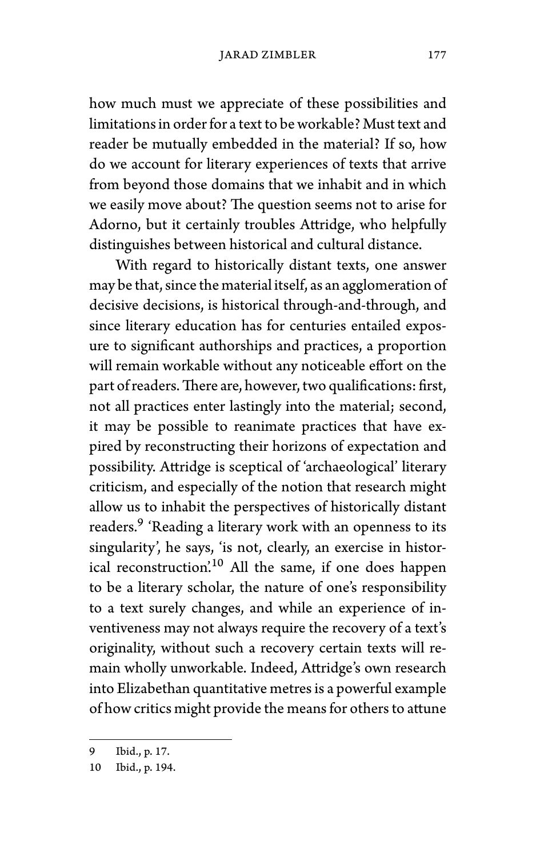how much must we appreciate of these possibilities and limitations in order for a text to be workable? Must text and reader be mutually embedded in the material? If so, how do we account for literary experiences of texts that arrive from beyond those domains that we inhabit and in which we easily move about? The question seems not to arise for Adorno, but it certainly troubles Attridge, who helpfully distinguishes between historical and cultural distance.

With regard to historically distant texts, one answer may be that, since the material itself, as an agglomeration of decisive decisions, is historical through-and-through, and since literary education has for centuries entailed exposure to significant authorships and practices, a proportion will remain workable without any noticeable effort on the part of readers.There are, however, two qualifications: first, not all practices enter lastingly into the material; second, it may be possible to reanimate practices that have expired by reconstructing their horizons of expectation and possibility. Attridge is sceptical of 'archaeological' literary criticism, and especially of the notion that research might allow us to inhabit the perspectives of historically distant readers.<sup>9</sup> 'Reading a literary work with an openness to its singularity', he says, 'is not, clearly, an exercise in historical reconstruction'.<sup>10</sup> All the same, if one does happen to be a literary scholar, the nature of one's responsibility to a text surely changes, and while an experience of inventiveness may not always require the recovery of a text's originality, without such a recovery certain texts will remain wholly unworkable. Indeed, Attridge's own research into Elizabethan quantitative metres is a powerful example of how critics might provide the means for others to attune

<sup>9</sup> Ibid., p. 17.

<sup>10</sup> Ibid., p. 194.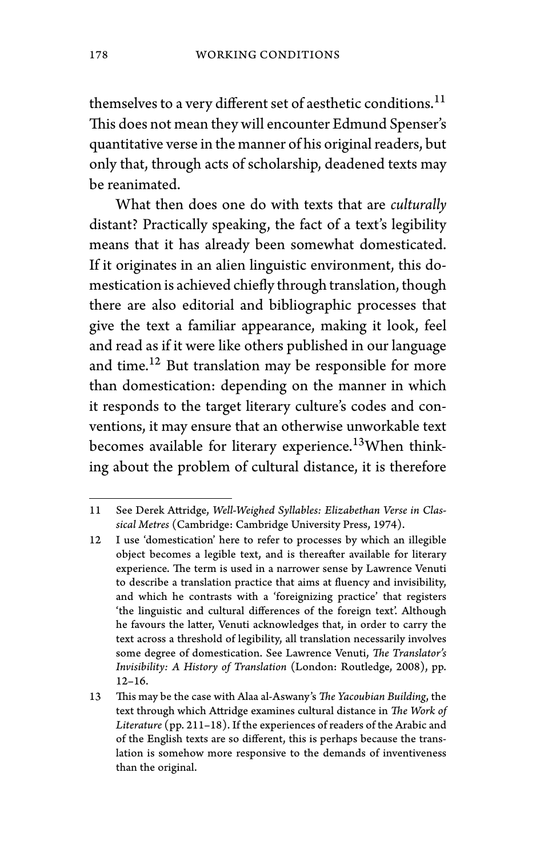themselves to a very different set of aesthetic conditions.<sup>11</sup> This does not mean they will encounter Edmund Spenser's quantitative verse in the manner of his original readers, but only that, through acts of scholarship, deadened texts may be reanimated.

What then does one do with texts that are *culturally* distant? Practically speaking, the fact of a text's legibility means that it has already been somewhat domesticated. If it originates in an alien linguistic environment, this domestication is achieved chiefly through translation, though there are also editorial and bibliographic processes that give the text a familiar appearance, making it look, feel and read as if it were like others published in our language and time.<sup>12</sup> But translation may be responsible for more than domestication: depending on the manner in which it responds to the target literary culture's codes and conventions, it may ensure that an otherwise unworkable text becomes available for literary experience.<sup>13</sup>When thinking about the problem of cultural distance, it is therefore

<sup>11</sup> See Derek Attridge, *Well-Weighed Syllables: Elizabethan Verse in Classical Metres* (Cambridge: Cambridge University Press, 1974).

<sup>12</sup> I use 'domestication' here to refer to processes by which an illegible object becomes a legible text, and is thereafter available for literary experience. The term is used in a narrower sense by Lawrence Venuti to describe a translation practice that aims at fluency and invisibility, and which he contrasts with a 'foreignizing practice' that registers 'the linguistic and cultural differences of the foreign text'. Although he favours the latter, Venuti acknowledges that, in order to carry the text across a threshold of legibility, all translation necessarily involves some degree of domestication. See Lawrence Venuti, *The Translator's Invisibility: A History of Translation* (London: Routledge, 2008), pp. 12–16.

<sup>13</sup> This may be the case with Alaa al-Aswany's *The Yacoubian Building*, the text through which Attridge examines cultural distance in *The Work of Literature* (pp. 211–18). If the experiences of readers of the Arabic and of the English texts are so different, this is perhaps because the translation is somehow more responsive to the demands of inventiveness than the original.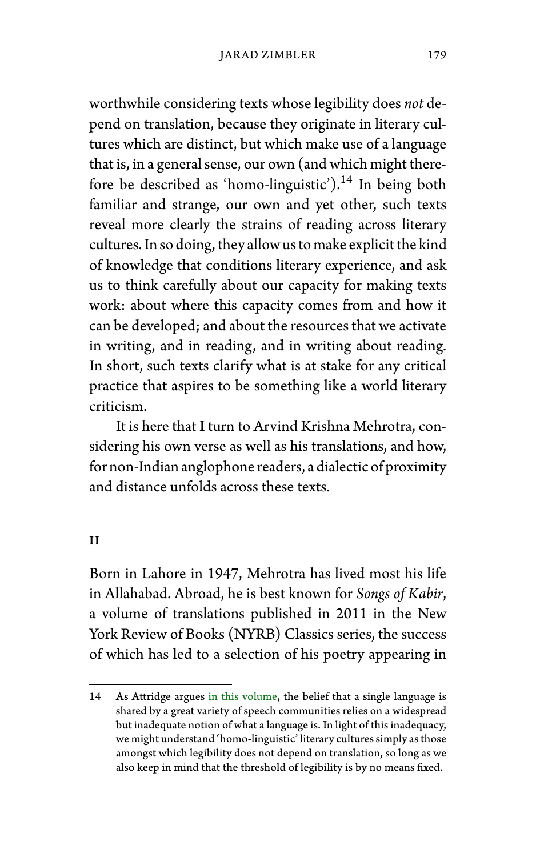worthwhile considering texts whose legibility does *not* depend on translation, because they originate in literary cultures which are distinct, but which make use of a language that is, in a general sense, our own (and which might therefore be described as 'homo-linguistic').<sup>14</sup> In being both familiar and strange, our own and yet other, such texts reveal more clearly the strains of reading across literary cultures. In so doing, they allow us to make explicit the kind of knowledge that conditions literary experience, and ask us to think carefully about our capacity for making texts work: about where this capacity comes from and how it can be developed; and about the resources that we activate in writing, and in reading, and in writing about reading. In short, such texts clarify what is at stake for any critical practice that aspires to be something like a world literary criticism.

It is here that I turn to Arvind Krishna Mehrotra, considering his own verse as well as his translations, and how, for non-Indian anglophone readers, a dialectic of proximity and distance unfolds across these texts.

II

Born in Lahore in 1947, Mehrotra has lived most his life in Allahabad. Abroad, he is best known for *Songs of Kabir*, a volume of translations published in 2011 in the New York Review of Books (NYRB) Classics series, the success of which has led to a selection of his poetry appearing in

<sup>14</sup> As Attridge argues [in this volume](https://doi.org/10.37050/ci-19_02#top), the belief that a single language is shared by a great variety of speech communities relies on a widespread but inadequate notion of what a language is. In light of this inadequacy, we might understand 'homo-linguistic' literary cultures simply as those amongst which legibility does not depend on translation, so long as we also keep in mind that the threshold of legibility is by no means fixed.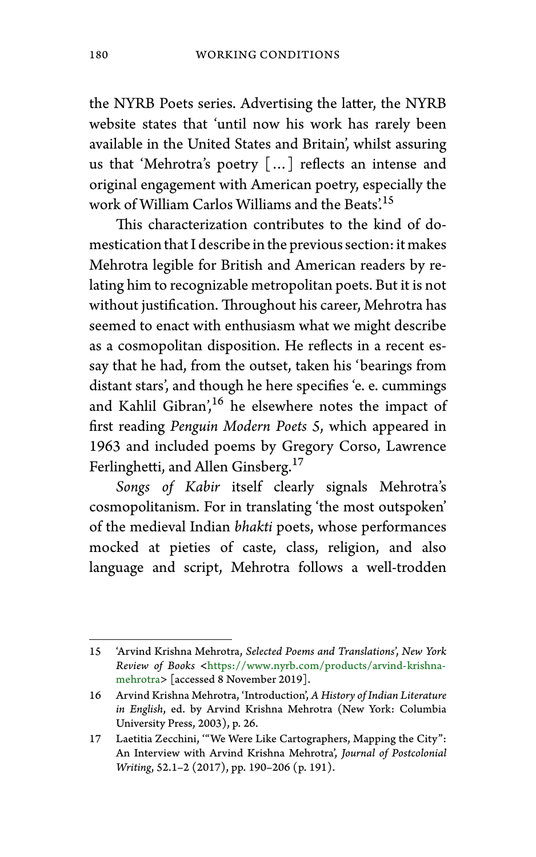the NYRB Poets series. Advertising the latter, the NYRB website states that 'until now his work has rarely been available in the United States and Britain', whilst assuring us that 'Mehrotra's poetry […] reflects an intense and original engagement with American poetry, especially the work of William Carlos Williams and the Beats'.<sup>15</sup>

This characterization contributes to the kind of domestication that I describe in the previous section: it makes Mehrotra legible for British and American readers by relating him to recognizable metropolitan poets. But it is not without justification. Throughout his career, Mehrotra has seemed to enact with enthusiasm what we might describe as a cosmopolitan disposition. He reflects in a recent essay that he had, from the outset, taken his 'bearings from distant stars', and though he here specifies 'e. e. cummings and Kahlil Gibran',<sup>16</sup> he elsewhere notes the impact of first reading *Penguin Modern Poets 5*, which appeared in 1963 and included poems by Gregory Corso, Lawrence Ferlinghetti, and Allen Ginsberg.<sup>17</sup>

*Songs of Kabir* itself clearly signals Mehrotra's cosmopolitanism. For in translating 'the most outspoken' of the medieval Indian *bhakti* poets, whose performances mocked at pieties of caste, class, religion, and also language and script, Mehrotra follows a well-trodden

<sup>15 &#</sup>x27;Arvind Krishna Mehrotra, *Selected Poems and Translations*', *New York Review of Books* <[https://www.nyrb.com/products/arvind-krishna](https://www.nyrb.com/products/arvind-krishna-mehrotra)[mehrotra>](https://www.nyrb.com/products/arvind-krishna-mehrotra) [accessed 8 November 2019].

<sup>16</sup> Arvind Krishna Mehrotra, 'Introduction', *A History of Indian Literature in English*, ed. by Arvind Krishna Mehrotra (New York: Columbia University Press, 2003), p. 26.

<sup>17</sup> Laetitia Zecchini, '"We Were Like Cartographers, Mapping the City": An Interview with Arvind Krishna Mehrotra', *Journal of Postcolonial Writing*, 52.1–2 (2017), pp. 190–206 (p. 191).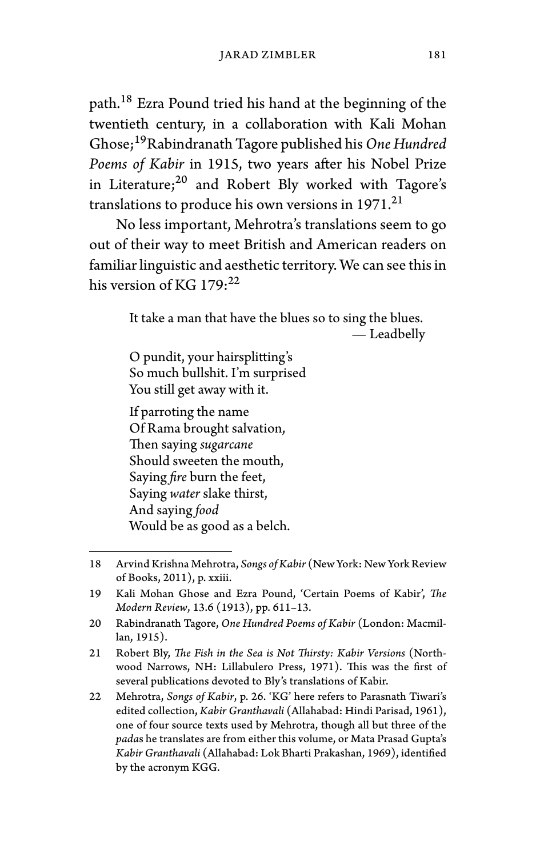path.<sup>18</sup> Ezra Pound tried his hand at the beginning of the twentieth century, in a collaboration with Kali Mohan Ghose;19Rabindranath Tagore published his *One Hundred Poems of Kabir* in 1915, two years after his Nobel Prize in Literature; $^{20}$  and Robert Bly worked with Tagore's translations to produce his own versions in 1971.<sup>21</sup>

No less important, Mehrotra's translations seem to go out of their way to meet British and American readers on familiar linguistic and aesthetic territory. We can see this in his version of KG  $179:^{22}$ 

> It take a man that have the blues so to sing the blues. — Leadbelly

O pundit, your hairsplitting's So much bullshit. I'm surprised You still get away with it.

If parroting the name Of Rama brought salvation, Then saying *sugarcane* Should sweeten the mouth, Saying *fire* burn the feet, Saying *water* slake thirst, And saying *food* Would be as good as a belch.

21 Robert Bly, *The Fish in the Sea is Not Thirsty: Kabir Versions* (Northwood Narrows, NH: Lillabulero Press, 1971). This was the first of several publications devoted to Bly's translations of Kabir.

<sup>18</sup> Arvind Krishna Mehrotra, *Songs of Kabir* (New York: New York Review of Books, 2011), p. xxiii.

<sup>19</sup> Kali Mohan Ghose and Ezra Pound, 'Certain Poems of Kabir', *The Modern Review*, 13.6 (1913), pp. 611–13.

<sup>20</sup> Rabindranath Tagore, *One Hundred Poems of Kabir* (London: Macmillan, 1915).

<sup>22</sup> Mehrotra, *Songs of Kabir*, p. 26. 'KG' here refers to Parasnath Tiwari's edited collection, *Kabir Granthavali* (Allahabad: Hindi Parisad, 1961), one of four source texts used by Mehrotra, though all but three of the *pada*s he translates are from either this volume, or Mata Prasad Gupta's *Kabir Granthavali* (Allahabad: Lok Bharti Prakashan, 1969), identified by the acronym KGG.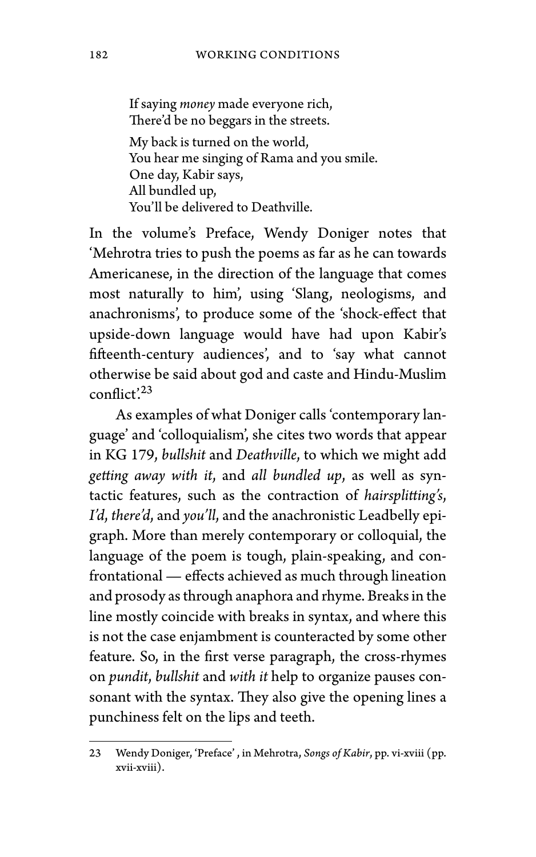If saying *money* made everyone rich, There'd be no beggars in the streets. My back is turned on the world, You hear me singing of Rama and you smile. One day, Kabir says, All bundled up, You'll be delivered to Deathville.

In the volume's Preface, Wendy Doniger notes that 'Mehrotra tries to push the poems as far as he can towards Americanese, in the direction of the language that comes most naturally to him', using 'Slang, neologisms, and anachronisms', to produce some of the 'shock-effect that upside-down language would have had upon Kabir's fifteenth-century audiences', and to 'say what cannot otherwise be said about god and caste and Hindu-Muslim conflict'.<sup>23</sup>

As examples of what Doniger calls 'contemporary language' and 'colloquialism', she cites two words that appear in KG 179, *bullshit* and *Deathville*, to which we might add *getting away with it*, and *all bundled up*, as well as syntactic features, such as the contraction of *hairsplitting's*, *I'd*, *there'd*, and *you'll*, and the anachronistic Leadbelly epigraph. More than merely contemporary or colloquial, the language of the poem is tough, plain-speaking, and confrontational — effects achieved as much through lineation and prosody as through anaphora and rhyme. Breaks in the line mostly coincide with breaks in syntax, and where this is not the case enjambment is counteracted by some other feature. So, in the first verse paragraph, the cross-rhymes on *pundit*, *bullshit* and *with it* help to organize pauses consonant with the syntax. They also give the opening lines a punchiness felt on the lips and teeth.

<sup>23</sup> Wendy Doniger, 'Preface' , in Mehrotra, *Songs of Kabir*, pp. vi-xviii (pp. xvii-xviii).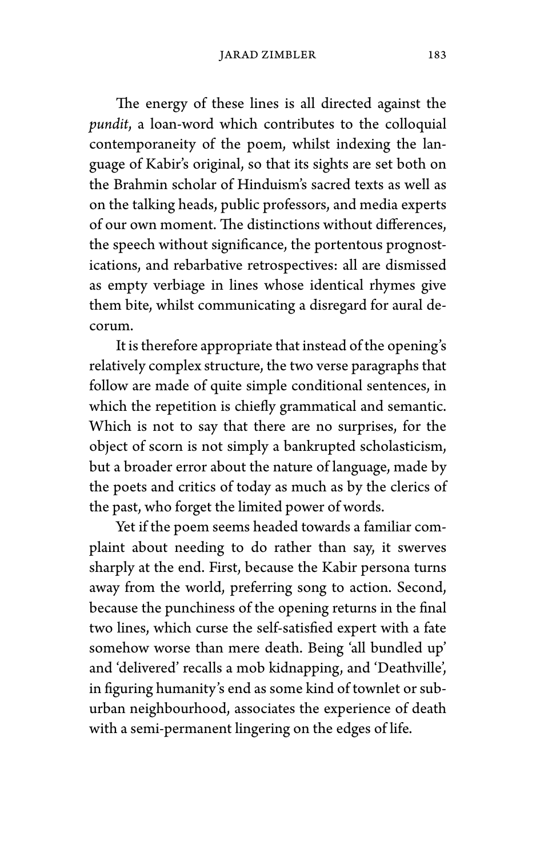The energy of these lines is all directed against the *pundit*, a loan-word which contributes to the colloquial contemporaneity of the poem, whilst indexing the language of Kabir's original, so that its sights are set both on the Brahmin scholar of Hinduism's sacred texts as well as on the talking heads, public professors, and media experts of our own moment. The distinctions without differences, the speech without significance, the portentous prognostications, and rebarbative retrospectives: all are dismissed as empty verbiage in lines whose identical rhymes give them bite, whilst communicating a disregard for aural decorum.

It is therefore appropriate that instead of the opening's relatively complex structure, the two verse paragraphs that follow are made of quite simple conditional sentences, in which the repetition is chiefly grammatical and semantic. Which is not to say that there are no surprises, for the object of scorn is not simply a bankrupted scholasticism, but a broader error about the nature of language, made by the poets and critics of today as much as by the clerics of the past, who forget the limited power of words.

Yet if the poem seems headed towards a familiar complaint about needing to do rather than say, it swerves sharply at the end. First, because the Kabir persona turns away from the world, preferring song to action. Second, because the punchiness of the opening returns in the final two lines, which curse the self-satisfied expert with a fate somehow worse than mere death. Being 'all bundled up' and 'delivered' recalls a mob kidnapping, and 'Deathville', in figuring humanity's end as some kind of townlet or suburban neighbourhood, associates the experience of death with a semi-permanent lingering on the edges of life.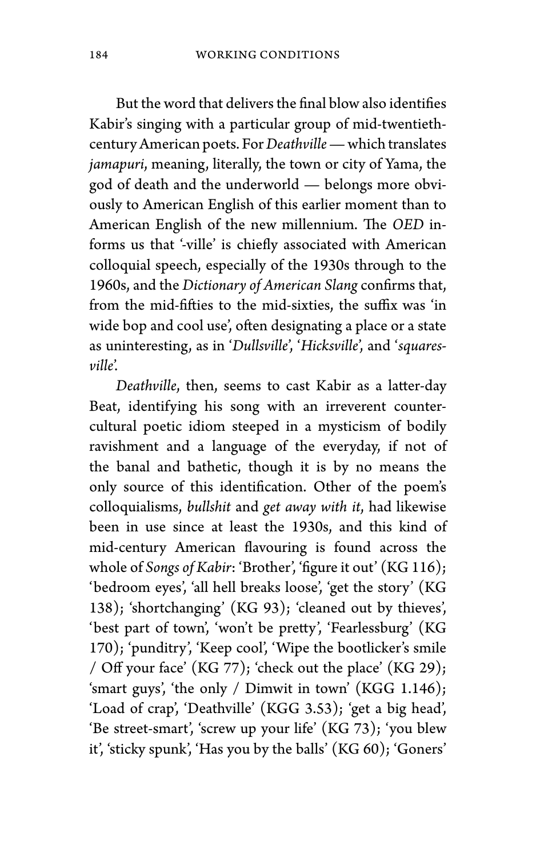But the word that delivers the final blow also identifies Kabir's singing with a particular group of mid-twentiethcentury American poets. For*Deathville*— which translates *jamapuri*, meaning, literally, the town or city of Yama, the god of death and the underworld — belongs more obviously to American English of this earlier moment than to American English of the new millennium. The *OED* informs us that '-ville' is chiefly associated with American colloquial speech, especially of the 1930s through to the 1960s, and the *Dictionary of American Slang* confirms that, from the mid-fifties to the mid-sixties, the suffix was 'in wide bop and cool use', often designating a place or a state as uninteresting, as in '*Dullsville*', '*Hicksville*', and '*squaresville*'.

*Deathville*, then, seems to cast Kabir as a latter-day Beat, identifying his song with an irreverent countercultural poetic idiom steeped in a mysticism of bodily ravishment and a language of the everyday, if not of the banal and bathetic, though it is by no means the only source of this identification. Other of the poem's colloquialisms, *bullshit* and *get away with it*, had likewise been in use since at least the 1930s, and this kind of mid-century American flavouring is found across the whole of *Songs of Kabir*: 'Brother', 'figure it out' (KG 116); 'bedroom eyes', 'all hell breaks loose', 'get the story' (KG 138); 'shortchanging' (KG 93); 'cleaned out by thieves', 'best part of town', 'won't be pretty', 'Fearlessburg' (KG 170); 'punditry', 'Keep cool', 'Wipe the bootlicker's smile / Off your face' (KG 77); 'check out the place' (KG 29); 'smart guys', 'the only / Dimwit in town' (KGG 1.146); 'Load of crap', 'Deathville' (KGG 3.53); 'get a big head', 'Be street-smart', 'screw up your life' (KG 73); 'you blew it', 'sticky spunk', 'Has you by the balls' (KG 60); 'Goners'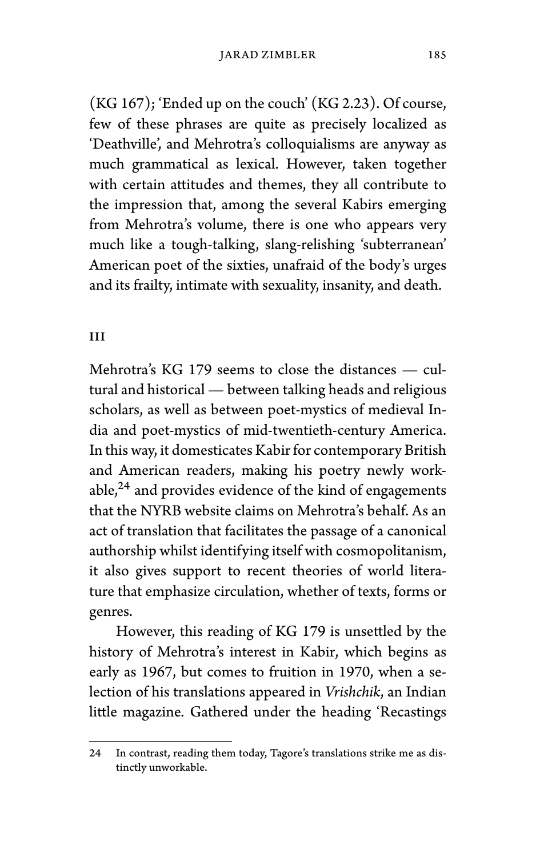(KG 167); 'Ended up on the couch' (KG 2.23). Of course, few of these phrases are quite as precisely localized as 'Deathville', and Mehrotra's colloquialisms are anyway as much grammatical as lexical. However, taken together with certain attitudes and themes, they all contribute to the impression that, among the several Kabirs emerging from Mehrotra's volume, there is one who appears very much like a tough-talking, slang-relishing 'subterranean' American poet of the sixties, unafraid of the body's urges and its frailty, intimate with sexuality, insanity, and death.

#### III

Mehrotra's KG 179 seems to close the distances — cultural and historical — between talking heads and religious scholars, as well as between poet-mystics of medieval India and poet-mystics of mid-twentieth-century America. In this way, it domesticates Kabir for contemporary British and American readers, making his poetry newly workable, $^{24}$  and provides evidence of the kind of engagements that the NYRB website claims on Mehrotra's behalf. As an act of translation that facilitates the passage of a canonical authorship whilst identifying itself with cosmopolitanism, it also gives support to recent theories of world literature that emphasize circulation, whether of texts, forms or genres.

However, this reading of KG 179 is unsettled by the history of Mehrotra's interest in Kabir, which begins as early as 1967, but comes to fruition in 1970, when a selection of his translations appeared in *Vrishchik*, an Indian little magazine. Gathered under the heading 'Recastings

<sup>24</sup> In contrast, reading them today, Tagore's translations strike me as distinctly unworkable.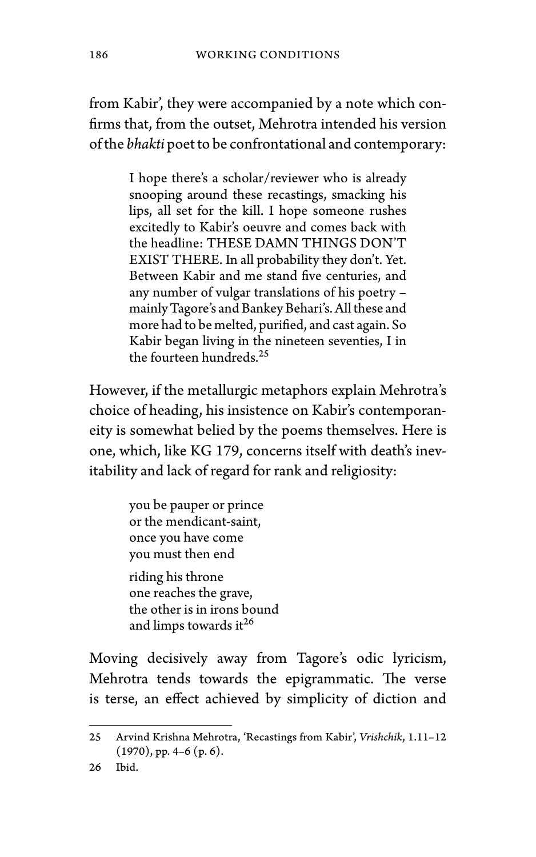from Kabir', they were accompanied by a note which confirms that, from the outset, Mehrotra intended his version of the *bhakti* poet to be confrontational and contemporary:

> I hope there's a scholar/reviewer who is already snooping around these recastings, smacking his lips, all set for the kill. I hope someone rushes excitedly to Kabir's oeuvre and comes back with the headline: THESE DAMN THINGS DON'T EXIST THERE. In all probability they don't. Yet. Between Kabir and me stand five centuries, and any number of vulgar translations of his poetry – mainly Tagore's and Bankey Behari's. All these and more had to be melted, purified, and cast again. So Kabir began living in the nineteen seventies, I in the fourteen hundreds<sup>25</sup>

However, if the metallurgic metaphors explain Mehrotra's choice of heading, his insistence on Kabir's contemporaneity is somewhat belied by the poems themselves. Here is one, which, like KG 179, concerns itself with death's inevitability and lack of regard for rank and religiosity:

> you be pauper or prince or the mendicant-saint, once you have come you must then end riding his throne one reaches the grave, the other is in irons bound and limps towards it $^{26}$

Moving decisively away from Tagore's odic lyricism, Mehrotra tends towards the epigrammatic. The verse is terse, an effect achieved by simplicity of diction and

<sup>25</sup> Arvind Krishna Mehrotra, 'Recastings from Kabir', *Vrishchik*, 1.11–12 (1970), pp. 4–6 (p. 6).

<sup>26</sup> Ibid.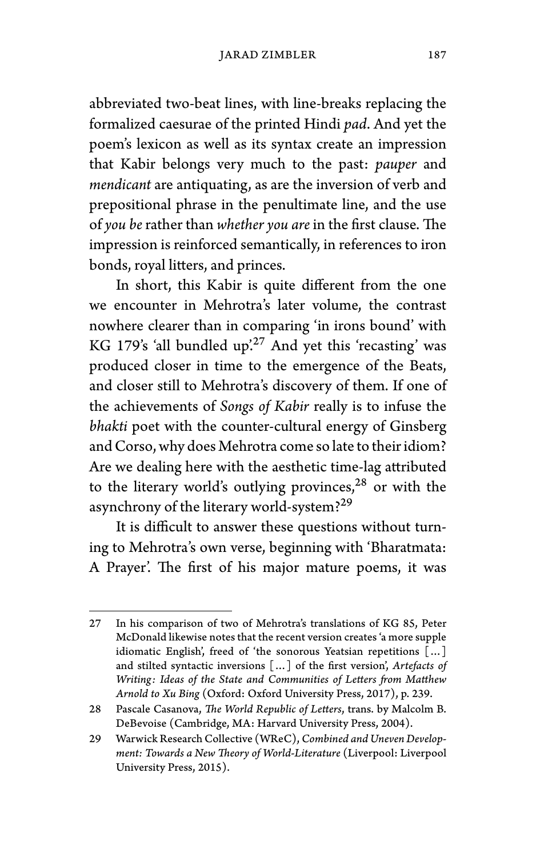abbreviated two-beat lines, with line-breaks replacing the formalized caesurae of the printed Hindi *pad*. And yet the poem's lexicon as well as its syntax create an impression that Kabir belongs very much to the past: *pauper* and *mendicant* are antiquating, as are the inversion of verb and prepositional phrase in the penultimate line, and the use of *you be* rather than *whether you are* in the first clause. The impression is reinforced semantically, in references to iron bonds, royal litters, and princes.

In short, this Kabir is quite different from the one we encounter in Mehrotra's later volume, the contrast nowhere clearer than in comparing 'in irons bound' with KG 179's 'all bundled up'.<sup>27</sup> And yet this 'recasting' was produced closer in time to the emergence of the Beats, and closer still to Mehrotra's discovery of them. If one of the achievements of *Songs of Kabir* really is to infuse the *bhakti* poet with the counter-cultural energy of Ginsberg and Corso, why does Mehrotra come so late to their idiom? Are we dealing here with the aesthetic time-lag attributed to the literary world's outlying provinces, $28$  or with the asynchrony of the literary world-system?<sup>29</sup>

It is difficult to answer these questions without turning to Mehrotra's own verse, beginning with 'Bharatmata: A Prayer'. The first of his major mature poems, it was

<sup>27</sup> In his comparison of two of Mehrotra's translations of KG 85, Peter McDonald likewise notes that the recent version creates 'a more supple idiomatic English', freed of 'the sonorous Yeatsian repetitions […] and stilted syntactic inversions […] of the first version', *Artefacts of Writing: Ideas of the State and Communities of Letters from Matthew Arnold to Xu Bing* (Oxford: Oxford University Press, 2017), p. 239.

<sup>28</sup> Pascale Casanova, *The World Republic of Letters*, trans. by Malcolm B. DeBevoise (Cambridge, MA: Harvard University Press, 2004).

<sup>29</sup> Warwick Research Collective (WReC),*Combined and Uneven Development: Towards a New Theory of World-Literature* (Liverpool: Liverpool University Press, 2015).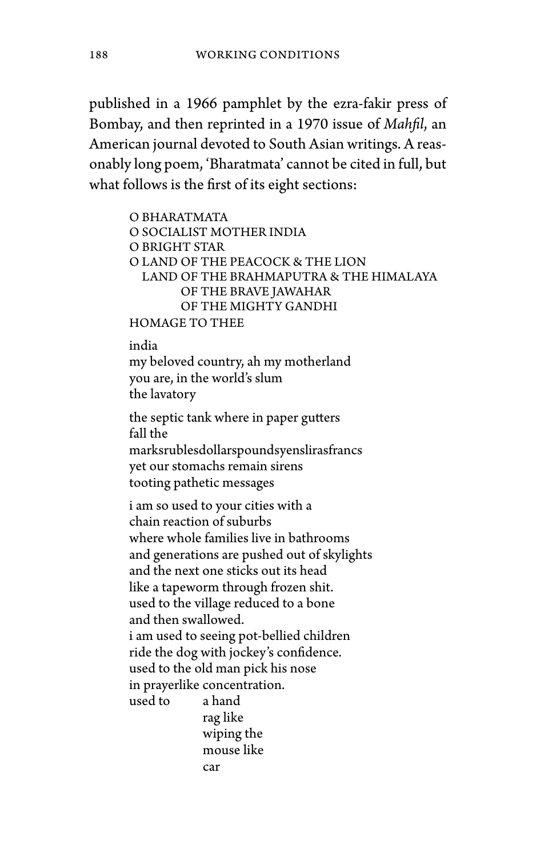published in a 1966 pamphlet by the ezra-fakir press of Bombay, and then reprinted in a 1970 issue of *Mahfil*, an American journal devoted to South Asian writings. A reasonably long poem, 'Bharatmata' cannot be cited in full, but what follows is the first of its eight sections:

```
O BHARATMATA
O SOCIALIST MOTHER INDIA
O BRIGHT STAR
O LAND OF THE PEACOCK & THE LION
  LAND OF THE BRAHMAPUTRA & THE HIMALAYA
        OF THE BRAVE JAWAHAR
        OF THE MIGHTY GANDHI
HOMAGE TO THEE
india
my beloved country, ah my motherland
you are, in the world's slum
the lavatory
the septic tank where in paper gutters
fall the
marksrublesdollarspoundsyenslirasfrancs
yet our stomachs remain sirens
tooting pathetic messages
i am so used to your cities with a
chain reaction of suburbs
where whole families live in bathrooms
and generations are pushed out of skylights
and the next one sticks out its head
like a tapeworm through frozen shit.
used to the village reduced to a bone
and then swallowed.
i am used to seeing pot-bellied children
ride the dog with jockey's confidence.
used to the old man pick his nose
in prayerlike concentration.
used to a hand
            rag like
            wiping the
            mouse like
            car
```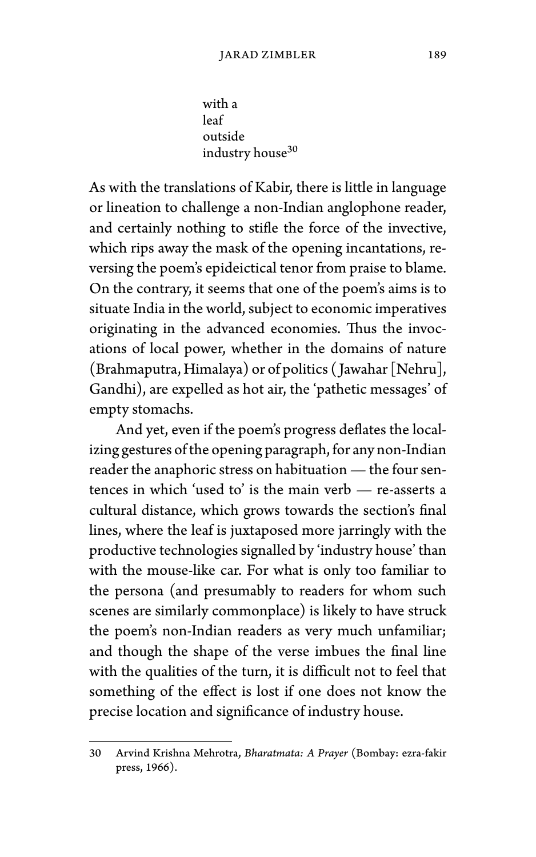with a leaf outside industry house  $\rm^{30}$ 

As with the translations of Kabir, there is little in language or lineation to challenge a non-Indian anglophone reader, and certainly nothing to stifle the force of the invective, which rips away the mask of the opening incantations, reversing the poem's epideictical tenor from praise to blame. On the contrary, it seems that one of the poem's aims is to situate India in the world, subject to economic imperatives originating in the advanced economies. Thus the invocations of local power, whether in the domains of nature (Brahmaputra, Himalaya) or of politics ( Jawahar [Nehru], Gandhi), are expelled as hot air, the 'pathetic messages' of empty stomachs.

And yet, even if the poem's progress deflates the localizing gestures of the opening paragraph, for any non-Indian reader the anaphoric stress on habituation — the four sentences in which 'used to' is the main verb — re-asserts a cultural distance, which grows towards the section's final lines, where the leaf is juxtaposed more jarringly with the productive technologies signalled by 'industry house' than with the mouse-like car. For what is only too familiar to the persona (and presumably to readers for whom such scenes are similarly commonplace) is likely to have struck the poem's non-Indian readers as very much unfamiliar; and though the shape of the verse imbues the final line with the qualities of the turn, it is difficult not to feel that something of the effect is lost if one does not know the precise location and significance of industry house.

<sup>30</sup> Arvind Krishna Mehrotra, *Bharatmata: A Prayer* (Bombay: ezra-fakir press, 1966).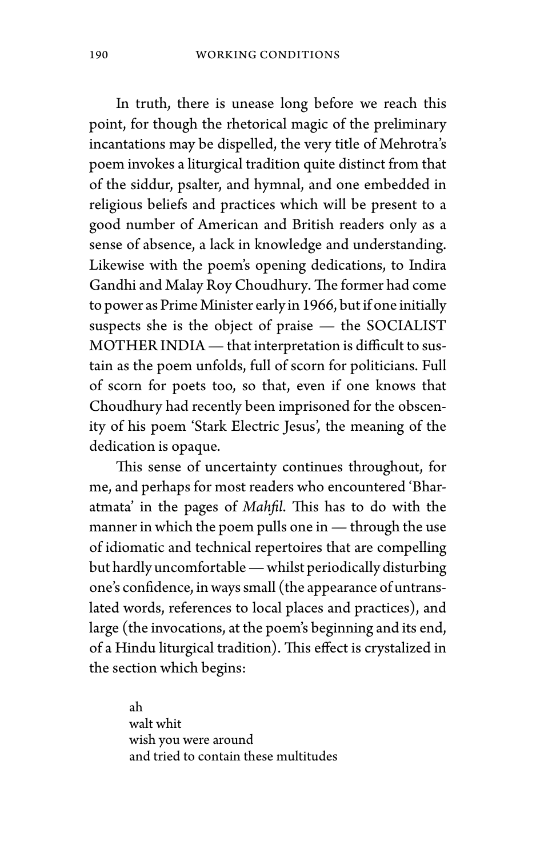In truth, there is unease long before we reach this point, for though the rhetorical magic of the preliminary incantations may be dispelled, the very title of Mehrotra's poem invokes a liturgical tradition quite distinct from that of the siddur, psalter, and hymnal, and one embedded in religious beliefs and practices which will be present to a good number of American and British readers only as a sense of absence, a lack in knowledge and understanding. Likewise with the poem's opening dedications, to Indira Gandhi and Malay Roy Choudhury. The former had come to power as Prime Minister early in 1966, but if one initially suspects she is the object of praise — the SOCIALIST MOTHER INDIA— that interpretation is difficult to sustain as the poem unfolds, full of scorn for politicians. Full of scorn for poets too, so that, even if one knows that Choudhury had recently been imprisoned for the obscenity of his poem 'Stark Electric Jesus', the meaning of the dedication is opaque.

This sense of uncertainty continues throughout, for me, and perhaps for most readers who encountered 'Bharatmata' in the pages of *Mahfil*. This has to do with the manner in which the poem pulls one in — through the use of idiomatic and technical repertoires that are compelling but hardly uncomfortable— whilst periodically disturbing one's confidence, in ways small (the appearance of untranslated words, references to local places and practices), and large (the invocations, at the poem's beginning and its end, of a Hindu liturgical tradition). This effect is crystalized in the section which begins:

> ah walt whit wish you were around and tried to contain these multitudes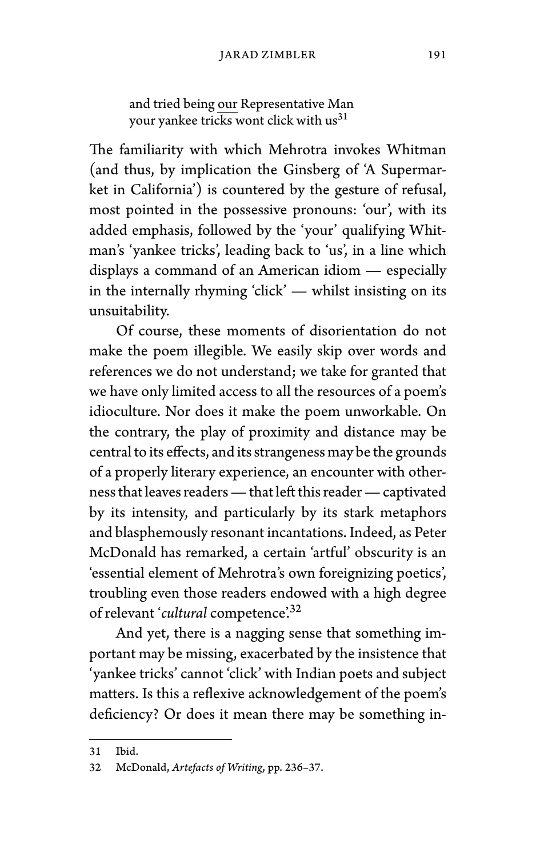and tried being our Representative Man your yankee tricks wont click with us<sup>31</sup>

The familiarity with which Mehrotra invokes Whitman (and thus, by implication the Ginsberg of 'A Supermarket in California') is countered by the gesture of refusal, most pointed in the possessive pronouns: 'our', with its added emphasis, followed by the 'your' qualifying Whitman's 'yankee tricks', leading back to 'us', in a line which displays a command of an American idiom — especially in the internally rhyming 'click' — whilst insisting on its unsuitability.

Of course, these moments of disorientation do not make the poem illegible. We easily skip over words and references we do not understand; we take for granted that we have only limited access to all the resources of a poem's idioculture. Nor does it make the poem unworkable. On the contrary, the play of proximity and distance may be central to its effects, and its strangeness may be the grounds of a properly literary experience, an encounter with otherness that leaves readers— that left this reader— captivated by its intensity, and particularly by its stark metaphors and blasphemously resonant incantations. Indeed, as Peter McDonald has remarked, a certain 'artful' obscurity is an 'essential element of Mehrotra's own foreignizing poetics', troubling even those readers endowed with a high degree of relevant '*cultural* competence'.<sup>32</sup>

And yet, there is a nagging sense that something important may be missing, exacerbated by the insistence that 'yankee tricks' cannot 'click' with Indian poets and subject matters. Is this a reflexive acknowledgement of the poem's deficiency? Or does it mean there may be something in-

<sup>31</sup> Ibid.

<sup>32</sup> McDonald, *Artefacts of Writing*, pp. 236–37.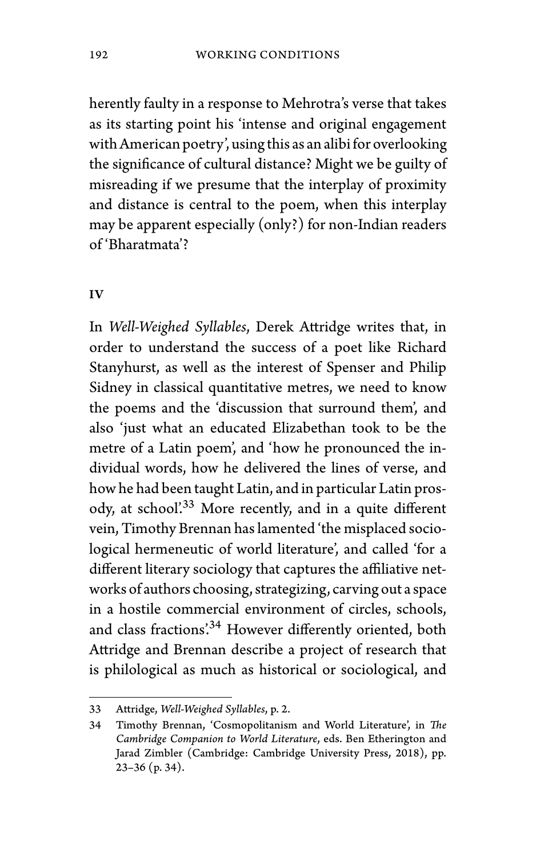herently faulty in a response to Mehrotra's verse that takes as its starting point his 'intense and original engagement with American poetry', using this as an alibi for overlooking the significance of cultural distance? Might we be guilty of misreading if we presume that the interplay of proximity and distance is central to the poem, when this interplay may be apparent especially (only?) for non-Indian readers of 'Bharatmata'?

#### IV

In *Well-Weighed Syllables*, Derek Attridge writes that, in order to understand the success of a poet like Richard Stanyhurst, as well as the interest of Spenser and Philip Sidney in classical quantitative metres, we need to know the poems and the 'discussion that surround them', and also 'just what an educated Elizabethan took to be the metre of a Latin poem', and 'how he pronounced the individual words, how he delivered the lines of verse, and how he had been taught Latin, and in particular Latin prosody, at school'.<sup>33</sup> More recently, and in a quite different vein, Timothy Brennan has lamented 'the misplaced sociological hermeneutic of world literature', and called 'for a different literary sociology that captures the affiliative networks of authors choosing, strategizing, carving out a space in a hostile commercial environment of circles, schools, and class fractions'.<sup>34</sup> However differently oriented, both Attridge and Brennan describe a project of research that is philological as much as historical or sociological, and

<sup>33</sup> Attridge, *Well-Weighed Syllables*, p. 2.

<sup>34</sup> Timothy Brennan, 'Cosmopolitanism and World Literature', in *The Cambridge Companion to World Literature*, eds. Ben Etherington and Jarad Zimbler (Cambridge: Cambridge University Press, 2018), pp. 23–36 (p. 34).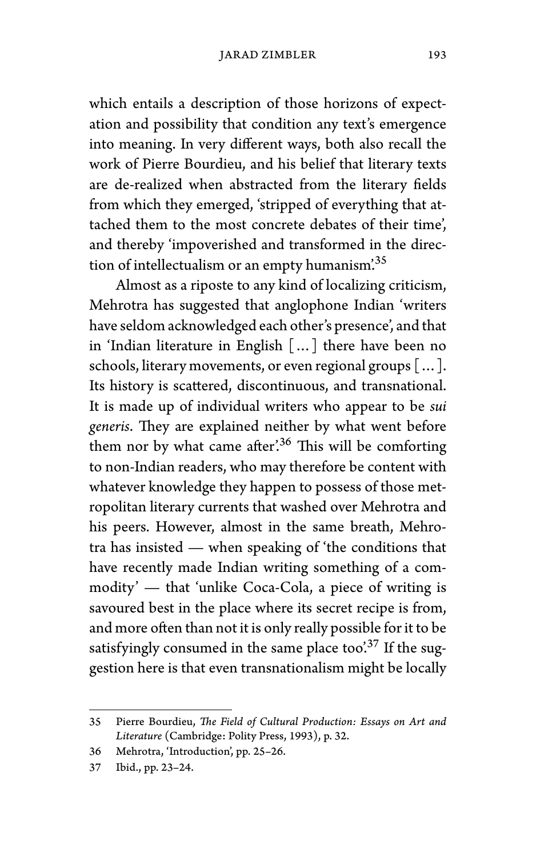which entails a description of those horizons of expectation and possibility that condition any text's emergence into meaning. In very different ways, both also recall the work of Pierre Bourdieu, and his belief that literary texts are de-realized when abstracted from the literary fields from which they emerged, 'stripped of everything that attached them to the most concrete debates of their time', and thereby 'impoverished and transformed in the direction of intellectualism or an empty humanism'.<sup>35</sup>

Almost as a riposte to any kind of localizing criticism, Mehrotra has suggested that anglophone Indian 'writers have seldom acknowledged each other's presence', and that in 'Indian literature in English […] there have been no schools, literary movements, or even regional groups […]. Its history is scattered, discontinuous, and transnational. It is made up of individual writers who appear to be *sui generis*. They are explained neither by what went before them nor by what came after.<sup>36</sup> This will be comforting to non-Indian readers, who may therefore be content with whatever knowledge they happen to possess of those metropolitan literary currents that washed over Mehrotra and his peers. However, almost in the same breath, Mehrotra has insisted — when speaking of 'the conditions that have recently made Indian writing something of a commodity' — that 'unlike Coca-Cola, a piece of writing is savoured best in the place where its secret recipe is from, and more often than not it is only really possible for it to be satisfyingly consumed in the same place too.<sup>37</sup> If the suggestion here is that even transnationalism might be locally

<sup>35</sup> Pierre Bourdieu, *The Field of Cultural Production: Essays on Art and Literature* (Cambridge: Polity Press, 1993), p. 32.

<sup>36</sup> Mehrotra, 'Introduction', pp. 25–26.

<sup>37</sup> Ibid., pp. 23–24.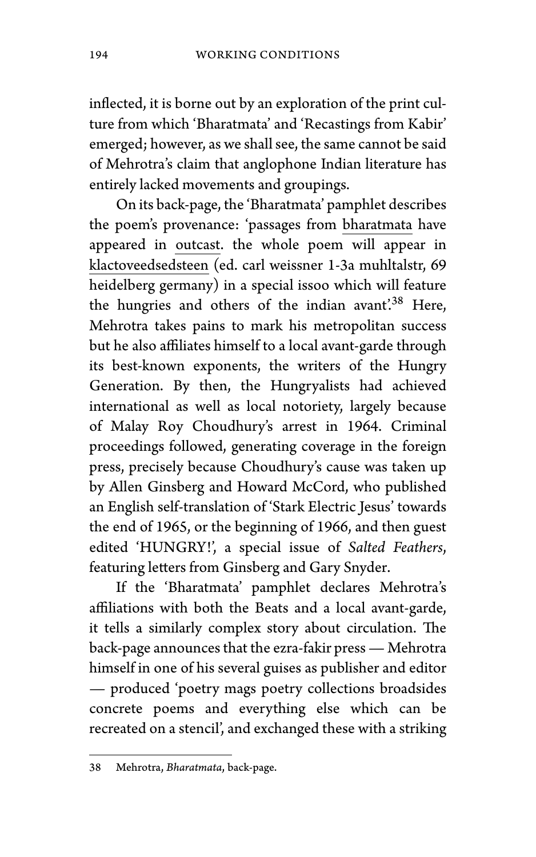inflected, it is borne out by an exploration of the print culture from which 'Bharatmata' and 'Recastings from Kabir' emerged; however, as we shall see, the same cannot be said of Mehrotra's claim that anglophone Indian literature has entirely lacked movements and groupings.

On its back-page, the 'Bharatmata' pamphlet describes the poem's provenance: 'passages from bharatmata have appeared in outcast. the whole poem will appear in klactoveedsedsteen (ed. carl weissner 1-3a muhltalstr, 69 heidelberg germany) in a special issoo which will feature the hungries and others of the indian avant.<sup>38</sup> Here, Mehrotra takes pains to mark his metropolitan success but he also affiliates himself to a local avant-garde through its best-known exponents, the writers of the Hungry Generation. By then, the Hungryalists had achieved international as well as local notoriety, largely because of Malay Roy Choudhury's arrest in 1964. Criminal proceedings followed, generating coverage in the foreign press, precisely because Choudhury's cause was taken up by Allen Ginsberg and Howard McCord, who published an English self-translation of 'Stark Electric Jesus' towards the end of 1965, or the beginning of 1966, and then guest edited 'HUNGRY!', a special issue of *Salted Feathers*, featuring letters from Ginsberg and Gary Snyder.

If the 'Bharatmata' pamphlet declares Mehrotra's affiliations with both the Beats and a local avant-garde, it tells a similarly complex story about circulation. The back-page announces that the ezra-fakir press — Mehrotra himself in one of his several guises as publisher and editor — produced 'poetry mags poetry collections broadsides concrete poems and everything else which can be recreated on a stencil', and exchanged these with a striking

<sup>38</sup> Mehrotra, *Bharatmata*, back-page.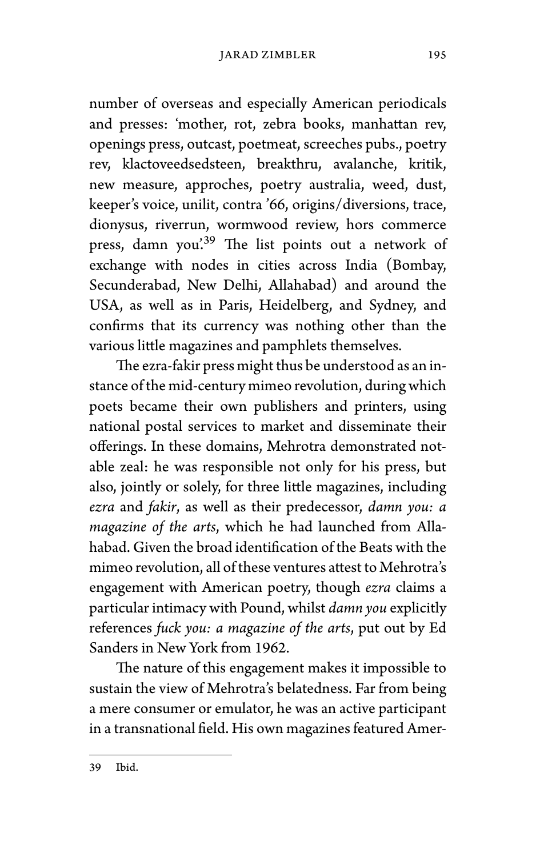number of overseas and especially American periodicals and presses: 'mother, rot, zebra books, manhattan rev, openings press, outcast, poetmeat, screeches pubs., poetry rev, klactoveedsedsteen, breakthru, avalanche, kritik, new measure, approches, poetry australia, weed, dust, keeper's voice, unilit, contra '66, origins/diversions, trace, dionysus, riverrun, wormwood review, hors commerce press, damn you<sup>'39</sup> The list points out a network of exchange with nodes in cities across India (Bombay, Secunderabad, New Delhi, Allahabad) and around the USA, as well as in Paris, Heidelberg, and Sydney, and confirms that its currency was nothing other than the various little magazines and pamphlets themselves.

The ezra-fakir press might thus be understood as an instance of the mid-century mimeo revolution, during which poets became their own publishers and printers, using national postal services to market and disseminate their offerings. In these domains, Mehrotra demonstrated notable zeal: he was responsible not only for his press, but also, jointly or solely, for three little magazines, including *ezra* and *fakir*, as well as their predecessor, *damn you: a magazine of the arts*, which he had launched from Allahabad. Given the broad identification of the Beats with the mimeo revolution, all of these ventures attest to Mehrotra's engagement with American poetry, though *ezra* claims a particular intimacy with Pound, whilst *damn you* explicitly references *fuck you: a magazine of the arts*, put out by Ed Sanders in New York from 1962.

The nature of this engagement makes it impossible to sustain the view of Mehrotra's belatedness. Far from being a mere consumer or emulator, he was an active participant in a transnational field. His own magazines featured Amer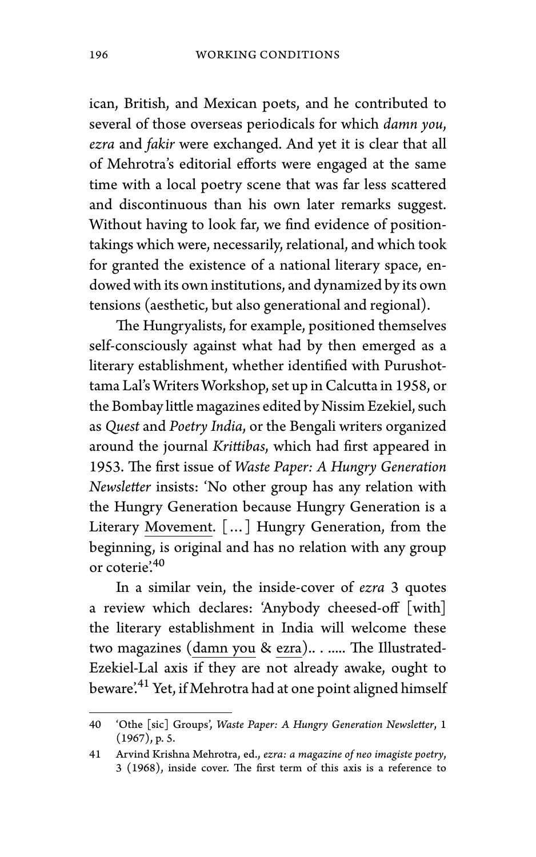ican, British, and Mexican poets, and he contributed to several of those overseas periodicals for which *damn you*, *ezra* and *fakir* were exchanged. And yet it is clear that all of Mehrotra's editorial efforts were engaged at the same time with a local poetry scene that was far less scattered and discontinuous than his own later remarks suggest. Without having to look far, we find evidence of positiontakings which were, necessarily, relational, and which took for granted the existence of a national literary space, endowed with its own institutions, and dynamized by its own tensions (aesthetic, but also generational and regional).

The Hungryalists, for example, positioned themselves self-consciously against what had by then emerged as a literary establishment, whether identified with Purushottama Lal's Writers Workshop, set up in Calcutta in 1958, or the Bombay little magazines edited by Nissim Ezekiel, such as *Quest* and *Poetry India*, or the Bengali writers organized around the journal *Krittibas*, which had first appeared in 1953. The first issue of *Waste Paper: A Hungry Generation Newsletter* insists: 'No other group has any relation with the Hungry Generation because Hungry Generation is a Literary Movement. […] Hungry Generation, from the beginning, is original and has no relation with any group or coterie.<sup>40</sup>

In a similar vein, the inside-cover of *ezra* 3 quotes a review which declares: 'Anybody cheesed-off [with] the literary establishment in India will welcome these two magazines (damn you & ezra).. . ..... The Illustrated-Ezekiel-Lal axis if they are not already awake, ought to beware<sup>',41</sup> Yet, if Mehrotra had at one point aligned himself

<sup>40 &#</sup>x27;Othe [sic] Groups', *Waste Paper: A Hungry Generation Newsletter*, 1 (1967), p. 5.

<sup>41</sup> Arvind Krishna Mehrotra, ed., *ezra: a magazine of neo imagiste poetry*, 3 (1968), inside cover. The first term of this axis is a reference to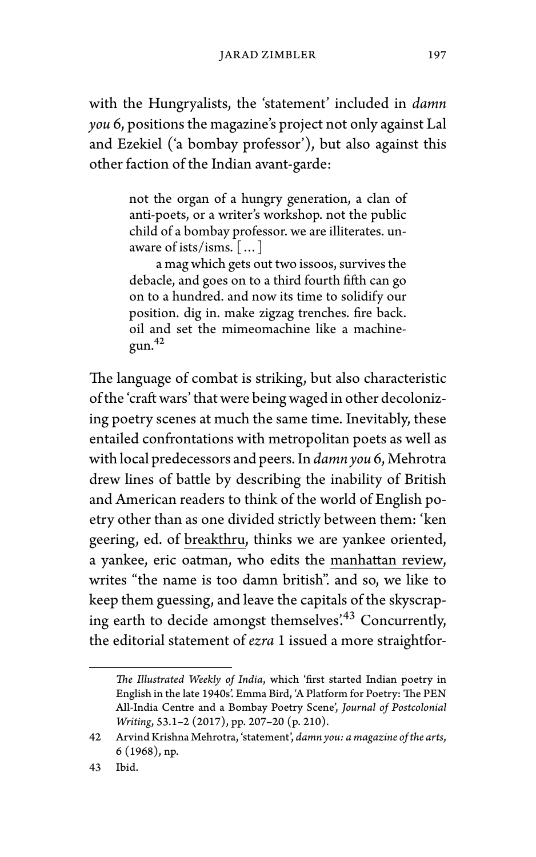with the Hungryalists, the 'statement' included in *damn you* 6, positions the magazine's project not only against Lal and Ezekiel ('a bombay professor'), but also against this other faction of the Indian avant-garde:

> not the organ of a hungry generation, a clan of anti-poets, or a writer's workshop. not the public child of a bombay professor. we are illiterates. unaware of ists/isms. […]

> a mag which gets out two issoos, survives the debacle, and goes on to a third fourth fifth can go on to a hundred. and now its time to solidify our position. dig in. make zigzag trenches. fire back. oil and set the mimeomachine like a machinegun.<sup>42</sup>

The language of combat is striking, but also characteristic of the 'craft wars' that were being waged in other decolonizing poetry scenes at much the same time. Inevitably, these entailed confrontations with metropolitan poets as well as with local predecessors and peers. In *damn you* 6, Mehrotra drew lines of battle by describing the inability of British and American readers to think of the world of English poetry other than as one divided strictly between them: 'ken geering, ed. of breakthru, thinks we are yankee oriented, a yankee, eric oatman, who edits the manhattan review, writes "the name is too damn british". and so, we like to keep them guessing, and leave the capitals of the skyscraping earth to decide amongst themselves'.<sup>43</sup> Concurrently, the editorial statement of *ezra* 1 issued a more straightfor-

*The Illustrated Weekly of India*, which 'first started Indian poetry in English in the late 1940s'. Emma Bird, 'A Platform for Poetry: The PEN All-India Centre and a Bombay Poetry Scene', *Journal of Postcolonial Writing*, 53.1–2 (2017), pp. 207–20 (p. 210).

<sup>42</sup> Arvind Krishna Mehrotra, 'statement', *damn you: a magazine of the arts*, 6 (1968), np.

<sup>43</sup> Ibid.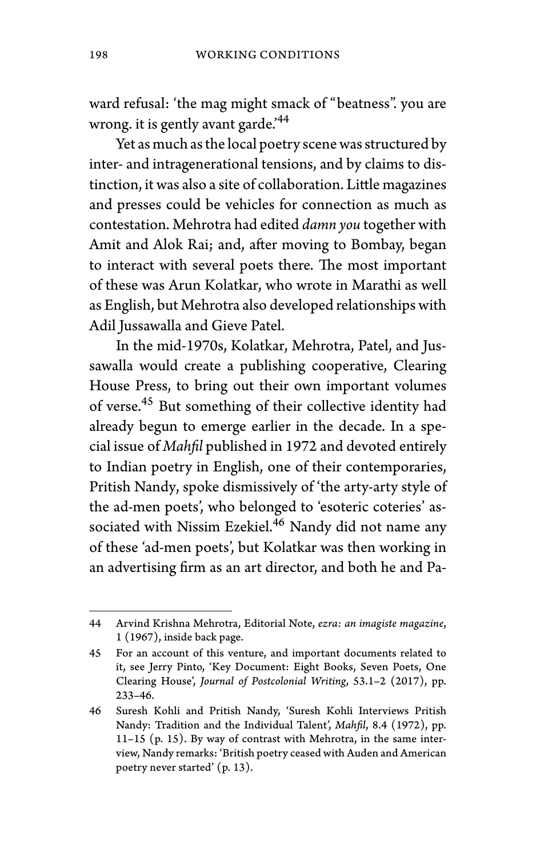ward refusal: 'the mag might smack of "beatness". you are wrong. it is gently avant garde.<sup>44</sup>

Yet as much as the local poetry scene was structured by inter- and intragenerational tensions, and by claims to distinction, it was also a site of collaboration. Little magazines and presses could be vehicles for connection as much as contestation. Mehrotra had edited *damn you* together with Amit and Alok Rai; and, after moving to Bombay, began to interact with several poets there. The most important of these was Arun Kolatkar, who wrote in Marathi as well as English, but Mehrotra also developed relationships with Adil Jussawalla and Gieve Patel.

In the mid-1970s, Kolatkar, Mehrotra, Patel, and Jussawalla would create a publishing cooperative, Clearing House Press, to bring out their own important volumes of verse.<sup>45</sup> But something of their collective identity had already begun to emerge earlier in the decade. In a special issue of *Mahfil* published in 1972 and devoted entirely to Indian poetry in English, one of their contemporaries, Pritish Nandy, spoke dismissively of 'the arty-arty style of the ad-men poets', who belonged to 'esoteric coteries' associated with Nissim Ezekiel.<sup>46</sup> Nandy did not name any of these 'ad-men poets', but Kolatkar was then working in an advertising firm as an art director, and both he and Pa-

<sup>44</sup> Arvind Krishna Mehrotra, Editorial Note, *ezra: an imagiste magazine*, 1 (1967), inside back page.

<sup>45</sup> For an account of this venture, and important documents related to it, see Jerry Pinto, 'Key Document: Eight Books, Seven Poets, One Clearing House', *Journal of Postcolonial Writing*, 53.1–2 (2017), pp. 233–46.

<sup>46</sup> Suresh Kohli and Pritish Nandy, 'Suresh Kohli Interviews Pritish Nandy: Tradition and the Individual Talent', *Mahfil*, 8.4 (1972), pp. 11–15 (p. 15). By way of contrast with Mehrotra, in the same interview, Nandy remarks: 'British poetry ceased with Auden and American poetry never started' (p. 13).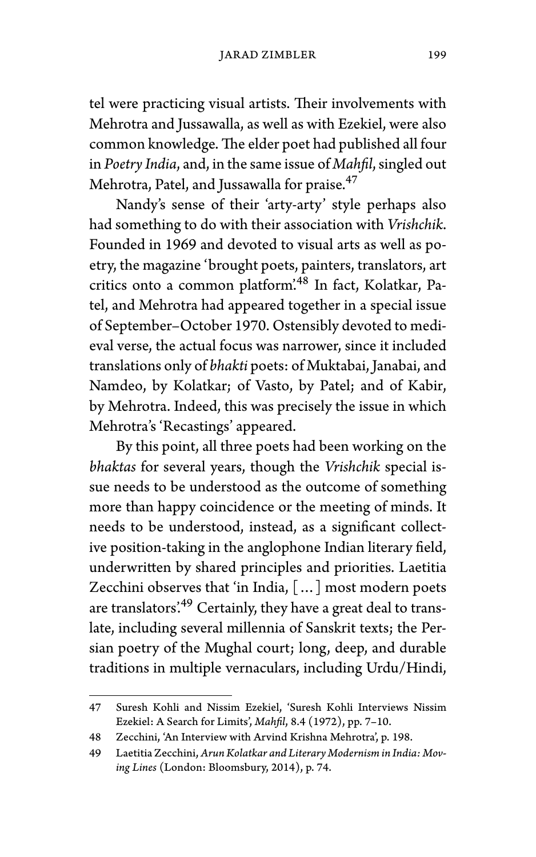tel were practicing visual artists. Their involvements with Mehrotra and Jussawalla, as well as with Ezekiel, were also common knowledge. The elder poet had published all four in *Poetry India*, and, in the same issue of *Mahfil*, singled out Mehrotra, Patel, and Jussawalla for praise.<sup>47</sup>

Nandy's sense of their 'arty-arty' style perhaps also had something to do with their association with *Vrishchik*. Founded in 1969 and devoted to visual arts as well as poetry, the magazine 'brought poets, painters, translators, art critics onto a common platform'.<sup>48</sup> In fact, Kolatkar, Patel, and Mehrotra had appeared together in a special issue of September–October 1970. Ostensibly devoted to medieval verse, the actual focus was narrower, since it included translations only of *bhakti* poets: of Muktabai, Janabai, and Namdeo, by Kolatkar; of Vasto, by Patel; and of Kabir, by Mehrotra. Indeed, this was precisely the issue in which Mehrotra's 'Recastings' appeared.

By this point, all three poets had been working on the *bhaktas* for several years, though the *Vrishchik* special issue needs to be understood as the outcome of something more than happy coincidence or the meeting of minds. It needs to be understood, instead, as a significant collective position-taking in the anglophone Indian literary field, underwritten by shared principles and priorities. Laetitia Zecchini observes that 'in India, […] most modern poets are translators.<sup>49</sup> Certainly, they have a great deal to translate, including several millennia of Sanskrit texts; the Persian poetry of the Mughal court; long, deep, and durable traditions in multiple vernaculars, including Urdu/Hindi,

<sup>47</sup> Suresh Kohli and Nissim Ezekiel, 'Suresh Kohli Interviews Nissim Ezekiel: A Search for Limits', *Mahfil*, 8.4 (1972), pp. 7–10.

<sup>48</sup> Zecchini, 'An Interview with Arvind Krishna Mehrotra', p. 198.

<sup>49</sup> Laetitia Zecchini,*Arun Kolatkar and Literary Modernism in India: Moving Lines* (London: Bloomsbury, 2014), p. 74.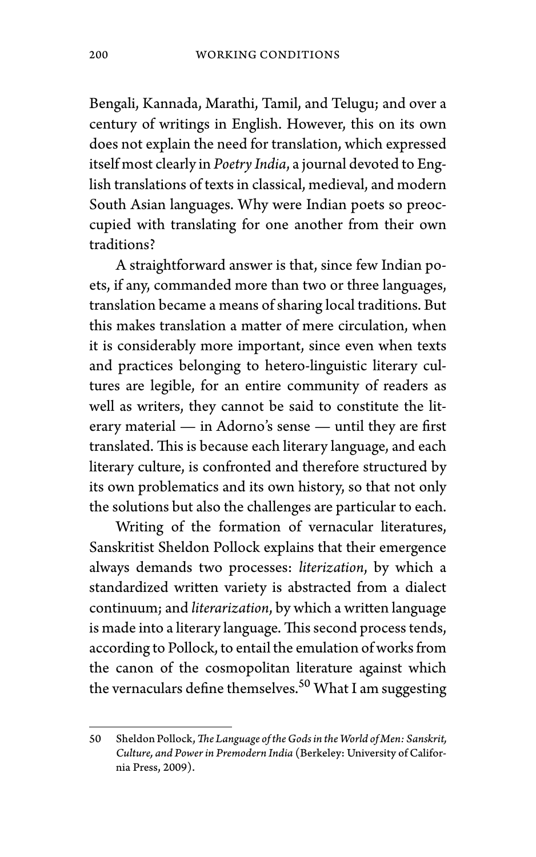Bengali, Kannada, Marathi, Tamil, and Telugu; and over a century of writings in English. However, this on its own does not explain the need for translation, which expressed itself most clearly in *Poetry India*, a journal devoted to English translations of texts in classical, medieval, and modern South Asian languages. Why were Indian poets so preoccupied with translating for one another from their own traditions?

A straightforward answer is that, since few Indian poets, if any, commanded more than two or three languages, translation became a means of sharing local traditions. But this makes translation a matter of mere circulation, when it is considerably more important, since even when texts and practices belonging to hetero-linguistic literary cultures are legible, for an entire community of readers as well as writers, they cannot be said to constitute the literary material — in Adorno's sense — until they are first translated. This is because each literary language, and each literary culture, is confronted and therefore structured by its own problematics and its own history, so that not only the solutions but also the challenges are particular to each.

Writing of the formation of vernacular literatures, Sanskritist Sheldon Pollock explains that their emergence always demands two processes: *literization*, by which a standardized written variety is abstracted from a dialect continuum; and *literarization*, by which a written language is made into a literary language. This second process tends, according to Pollock, to entail the emulation of works from the canon of the cosmopolitan literature against which the vernaculars define themselves.<sup>50</sup> What I am suggesting

<sup>50</sup> Sheldon Pollock,*The Language of the Gods in theWorld of Men: Sanskrit, Culture, and Power in Premodern India* (Berkeley: University of California Press, 2009).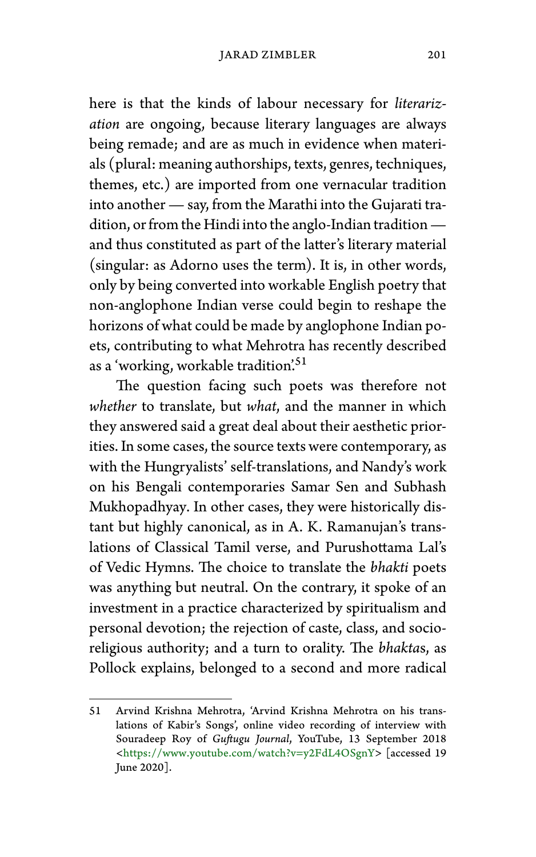here is that the kinds of labour necessary for *literarization* are ongoing, because literary languages are always being remade; and are as much in evidence when materials (plural: meaning authorships, texts, genres, techniques, themes, etc.) are imported from one vernacular tradition into another — say, from the Marathi into the Gujarati tradition, or from the Hindi into the anglo-Indian tradition and thus constituted as part of the latter's literary material (singular: as Adorno uses the term). It is, in other words, only by being converted into workable English poetry that non-anglophone Indian verse could begin to reshape the horizons of what could be made by anglophone Indian poets, contributing to what Mehrotra has recently described as a 'working, workable tradition.'<sup>51</sup>

The question facing such poets was therefore not *whether* to translate, but *what*, and the manner in which they answered said a great deal about their aesthetic priorities. In some cases, the source texts were contemporary, as with the Hungryalists' self-translations, and Nandy's work on his Bengali contemporaries Samar Sen and Subhash Mukhopadhyay. In other cases, they were historically distant but highly canonical, as in A. K. Ramanujan's translations of Classical Tamil verse, and Purushottama Lal's of Vedic Hymns. The choice to translate the *bhakti* poets was anything but neutral. On the contrary, it spoke of an investment in a practice characterized by spiritualism and personal devotion; the rejection of caste, class, and socioreligious authority; and a turn to orality. The *bhakta*s, as Pollock explains, belonged to a second and more radical

<sup>51</sup> Arvind Krishna Mehrotra, 'Arvind Krishna Mehrotra on his translations of Kabir's Songs', online video recording of interview with Souradeep Roy of *Guftugu Journal*, YouTube, 13 September 2018 <[https://www.youtube.com/watch?v=y2FdL4OSgnY>](https://www.youtube.com/watch?v=y2FdL4OSgnY) [accessed 19 June 2020].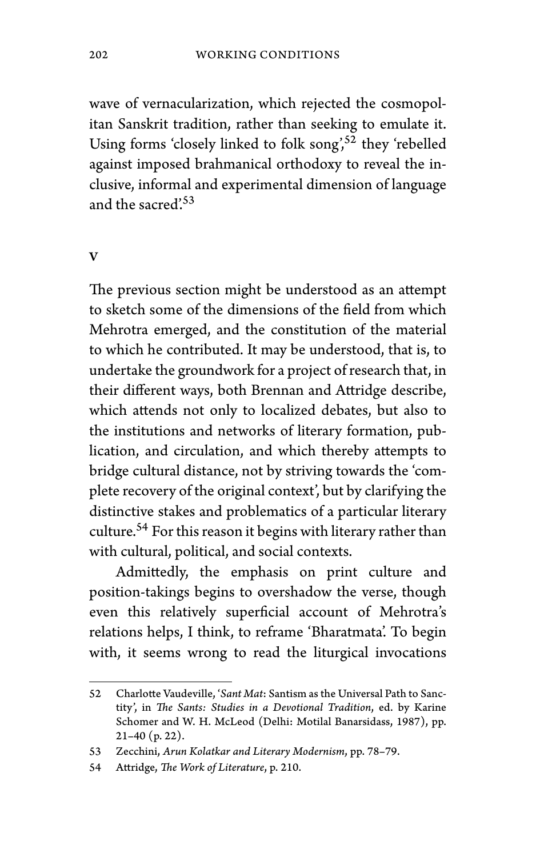wave of vernacularization, which rejected the cosmopolitan Sanskrit tradition, rather than seeking to emulate it. Using forms 'closely linked to folk song',<sup>52</sup> they 'rebelled against imposed brahmanical orthodoxy to reveal the inclusive, informal and experimental dimension of language and the sacred'.<sup>53</sup>

V

The previous section might be understood as an attempt to sketch some of the dimensions of the field from which Mehrotra emerged, and the constitution of the material to which he contributed. It may be understood, that is, to undertake the groundwork for a project of research that, in their different ways, both Brennan and Attridge describe, which attends not only to localized debates, but also to the institutions and networks of literary formation, publication, and circulation, and which thereby attempts to bridge cultural distance, not by striving towards the 'complete recovery of the original context', but by clarifying the distinctive stakes and problematics of a particular literary culture.<sup>54</sup> For this reason it begins with literary rather than with cultural, political, and social contexts.

Admittedly, the emphasis on print culture and position-takings begins to overshadow the verse, though even this relatively superficial account of Mehrotra's relations helps, I think, to reframe 'Bharatmata'. To begin with, it seems wrong to read the liturgical invocations

<sup>52</sup> Charlotte Vaudeville, '*Sant Mat*: Santism as the Universal Path to Sanctity', in *The Sants: Studies in a Devotional Tradition*, ed. by Karine Schomer and W. H. McLeod (Delhi: Motilal Banarsidass, 1987), pp. 21–40 (p. 22).

<sup>53</sup> Zecchini, *Arun Kolatkar and Literary Modernism*, pp. 78–79.

<sup>54</sup> Attridge, *The Work of Literature*, p. 210.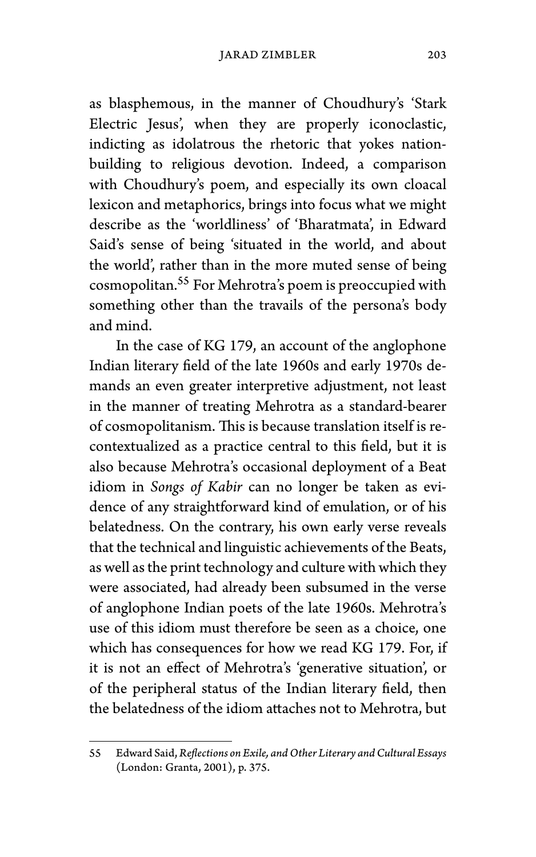as blasphemous, in the manner of Choudhury's 'Stark Electric Jesus', when they are properly iconoclastic, indicting as idolatrous the rhetoric that yokes nationbuilding to religious devotion. Indeed, a comparison with Choudhury's poem, and especially its own cloacal lexicon and metaphorics, brings into focus what we might describe as the 'worldliness' of 'Bharatmata', in Edward Said's sense of being 'situated in the world, and about the world', rather than in the more muted sense of being cosmopolitan.<sup>55</sup> For Mehrotra's poem is preoccupied with something other than the travails of the persona's body and mind.

In the case of KG 179, an account of the anglophone Indian literary field of the late 1960s and early 1970s demands an even greater interpretive adjustment, not least in the manner of treating Mehrotra as a standard-bearer of cosmopolitanism. This is because translation itself is recontextualized as a practice central to this field, but it is also because Mehrotra's occasional deployment of a Beat idiom in *Songs of Kabir* can no longer be taken as evidence of any straightforward kind of emulation, or of his belatedness. On the contrary, his own early verse reveals that the technical and linguistic achievements of the Beats, as well as the print technology and culture with which they were associated, had already been subsumed in the verse of anglophone Indian poets of the late 1960s. Mehrotra's use of this idiom must therefore be seen as a choice, one which has consequences for how we read KG 179. For, if it is not an effect of Mehrotra's 'generative situation', or of the peripheral status of the Indian literary field, then the belatedness of the idiom attaches not to Mehrotra, but

<sup>55</sup> Edward Said,*Reflections on Exile, and Other Literary and Cultural Essays* (London: Granta, 2001), p. 375.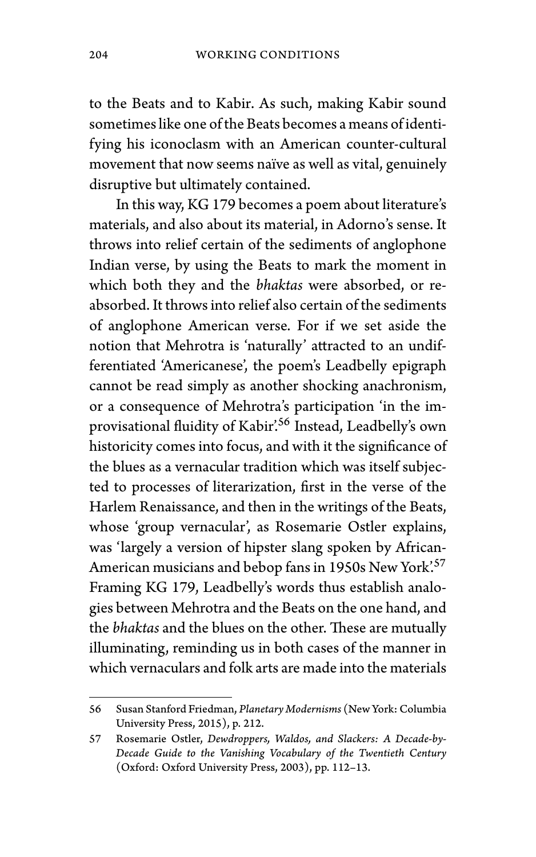to the Beats and to Kabir. As such, making Kabir sound sometimes like one of the Beats becomes a means of identifying his iconoclasm with an American counter-cultural movement that now seems naïve as well as vital, genuinely disruptive but ultimately contained.

In this way, KG 179 becomes a poem about literature's materials, and also about its material, in Adorno's sense. It throws into relief certain of the sediments of anglophone Indian verse, by using the Beats to mark the moment in which both they and the *bhaktas* were absorbed, or reabsorbed. It throws into relief also certain of the sediments of anglophone American verse. For if we set aside the notion that Mehrotra is 'naturally' attracted to an undifferentiated 'Americanese', the poem's Leadbelly epigraph cannot be read simply as another shocking anachronism, or a consequence of Mehrotra's participation 'in the improvisational fluidity of Kabir'.<sup>56</sup> Instead, Leadbelly's own historicity comes into focus, and with it the significance of the blues as a vernacular tradition which was itself subjected to processes of literarization, first in the verse of the Harlem Renaissance, and then in the writings of the Beats, whose 'group vernacular', as Rosemarie Ostler explains, was 'largely a version of hipster slang spoken by African-American musicians and bebop fans in 1950s New York'.<sup>57</sup> Framing KG 179, Leadbelly's words thus establish analogies between Mehrotra and the Beats on the one hand, and the *bhaktas* and the blues on the other. These are mutually illuminating, reminding us in both cases of the manner in which vernaculars and folk arts are made into the materials

<sup>56</sup> Susan Stanford Friedman, *Planetary Modernisms* (New York: Columbia University Press, 2015), p. 212.

<sup>57</sup> Rosemarie Ostler, *Dewdroppers, Waldos, and Slackers: A Decade-by-Decade Guide to the Vanishing Vocabulary of the Twentieth Century* (Oxford: Oxford University Press, 2003), pp. 112–13.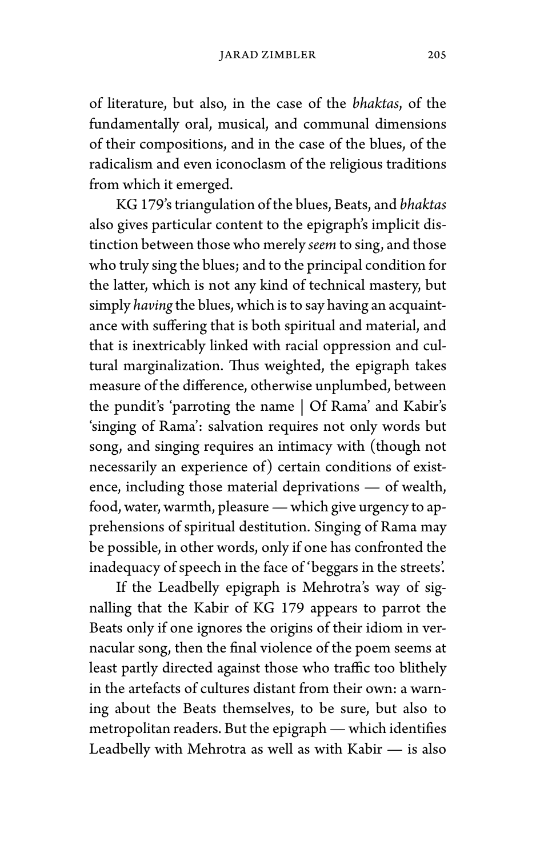of literature, but also, in the case of the *bhaktas*, of the fundamentally oral, musical, and communal dimensions of their compositions, and in the case of the blues, of the radicalism and even iconoclasm of the religious traditions from which it emerged.

KG 179's triangulation of the blues, Beats, and *bhaktas* also gives particular content to the epigraph's implicit distinction between those who merely *seem* to sing, and those who truly sing the blues; and to the principal condition for the latter, which is not any kind of technical mastery, but simply *having* the blues, which is to say having an acquaintance with suffering that is both spiritual and material, and that is inextricably linked with racial oppression and cultural marginalization. Thus weighted, the epigraph takes measure of the difference, otherwise unplumbed, between the pundit's 'parroting the name | Of Rama' and Kabir's 'singing of Rama': salvation requires not only words but song, and singing requires an intimacy with (though not necessarily an experience of) certain conditions of existence, including those material deprivations — of wealth, food, water, warmth, pleasure— which give urgency to apprehensions of spiritual destitution. Singing of Rama may be possible, in other words, only if one has confronted the inadequacy of speech in the face of 'beggars in the streets'.

If the Leadbelly epigraph is Mehrotra's way of signalling that the Kabir of KG 179 appears to parrot the Beats only if one ignores the origins of their idiom in vernacular song, then the final violence of the poem seems at least partly directed against those who traffic too blithely in the artefacts of cultures distant from their own: a warning about the Beats themselves, to be sure, but also to metropolitan readers. But the epigraph — which identifies Leadbelly with Mehrotra as well as with Kabir — is also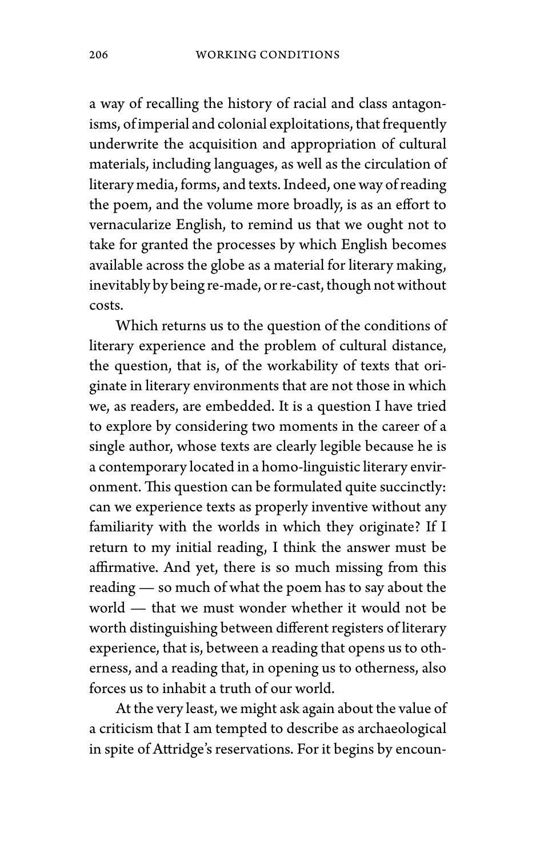a way of recalling the history of racial and class antagonisms, of imperial and colonial exploitations, that frequently underwrite the acquisition and appropriation of cultural materials, including languages, as well as the circulation of literary media, forms, and texts. Indeed, one way of reading the poem, and the volume more broadly, is as an effort to vernacularize English, to remind us that we ought not to take for granted the processes by which English becomes available across the globe as a material for literary making, inevitably by being re-made, or re-cast, though not without costs.

Which returns us to the question of the conditions of literary experience and the problem of cultural distance, the question, that is, of the workability of texts that originate in literary environments that are not those in which we, as readers, are embedded. It is a question I have tried to explore by considering two moments in the career of a single author, whose texts are clearly legible because he is a contemporary located in a homo-linguistic literary environment. This question can be formulated quite succinctly: can we experience texts as properly inventive without any familiarity with the worlds in which they originate? If I return to my initial reading, I think the answer must be affirmative. And yet, there is so much missing from this reading — so much of what the poem has to say about the world — that we must wonder whether it would not be worth distinguishing between different registers of literary experience, that is, between a reading that opens us to otherness, and a reading that, in opening us to otherness, also forces us to inhabit a truth of our world.

At the very least, we might ask again about the value of a criticism that I am tempted to describe as archaeological in spite of Attridge's reservations. For it begins by encoun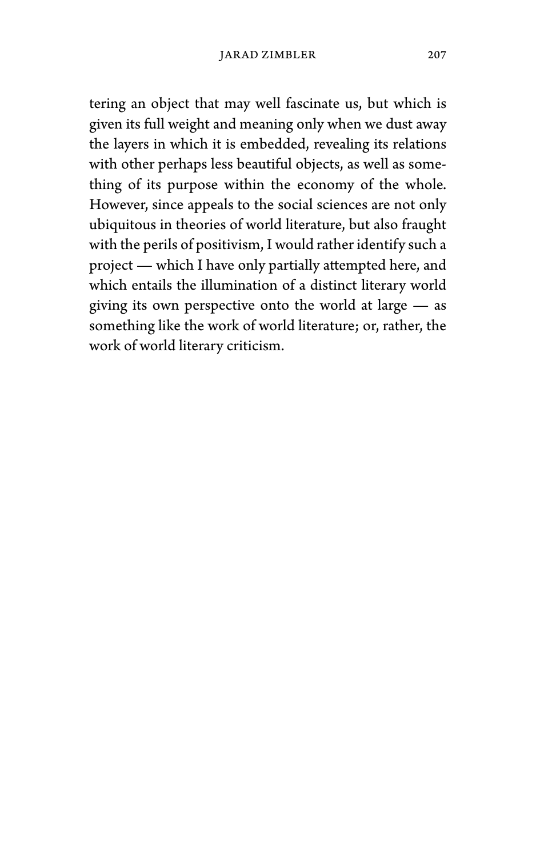tering an object that may well fascinate us, but which is given its full weight and meaning only when we dust away the layers in which it is embedded, revealing its relations with other perhaps less beautiful objects, as well as something of its purpose within the economy of the whole. However, since appeals to the social sciences are not only ubiquitous in theories of world literature, but also fraught with the perils of positivism, I would rather identify such a project — which I have only partially attempted here, and which entails the illumination of a distinct literary world giving its own perspective onto the world at large — as something like the work of world literature; or, rather, the work of world literary criticism.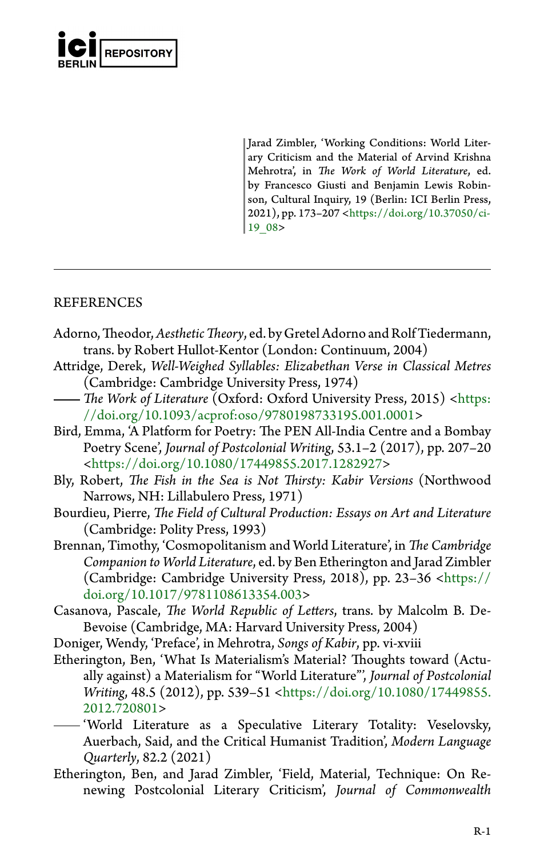

Jarad Zimbler, 'Working Conditions: World Literary Criticism and the Material of Arvind Krishna Mehrotra', in *The Work of World Literature*, ed. by Francesco Giusti and Benjamin Lewis Robinson, Cultural Inquiry, 19 (Berlin: ICI Berlin Press, 2021), pp. 173–207 <[https://doi.org/10.37050/ci-](https://doi.org/10.37050/ci-19_08)[19\\_08>](https://doi.org/10.37050/ci-19_08)

#### REFERENCES

- Adorno,Theodor,*AestheticTheory*, ed. by Gretel Adorno and Rolf Tiedermann, trans. by Robert Hullot-Kentor (London: Continuum, 2004)
- Attridge, Derek, *Well-Weighed Syllables: Elizabethan Verse in Classical Metres* (Cambridge: Cambridge University Press, 1974)
- *The Work of Literature* (Oxford: Oxford University Press, 2015) <[https:](https://doi.org/10.1093/acprof:oso/9780198733195.001.0001) [//doi.org/10.1093/acprof:oso/9780198733195.001.0001>](https://doi.org/10.1093/acprof:oso/9780198733195.001.0001)
- Bird, Emma, 'A Platform for Poetry: The PEN All-India Centre and a Bombay Poetry Scene', *Journal of Postcolonial Writing*, 53.1–2 (2017), pp. 207–20 <[https://doi.org/10.1080/17449855.2017.1282927>](https://doi.org/10.1080/17449855.2017.1282927)
- Bly, Robert, *The Fish in the Sea is Not Thirsty: Kabir Versions* (Northwood Narrows, NH: Lillabulero Press, 1971)
- Bourdieu, Pierre, *The Field of Cultural Production: Essays on Art and Literature* (Cambridge: Polity Press, 1993)
- Brennan, Timothy, 'Cosmopolitanism and World Literature', in *The Cambridge Companion to World Literature*, ed. by Ben Etherington and Jarad Zimbler (Cambridge: Cambridge University Press, 2018), pp. 23–36 [<https://](https://doi.org/10.1017/9781108613354.003) [doi.org/10.1017/9781108613354.003>](https://doi.org/10.1017/9781108613354.003)
- Casanova, Pascale, *The World Republic of Letters*, trans. by Malcolm B. De-Bevoise (Cambridge, MA: Harvard University Press, 2004)
- Doniger, Wendy, 'Preface', in Mehrotra, *Songs of Kabir*, pp. vi-xviii
- Etherington, Ben, 'What Is Materialism's Material? Thoughts toward (Actually against) a Materialism for "World Literature"', *Journal of Postcolonial Writing*, 48.5 (2012), pp. 539–51 <[https://doi.org/10.1080/17449855.](https://doi.org/10.1080/17449855.2012.720801) [2012.720801](https://doi.org/10.1080/17449855.2012.720801)>
- 'World Literature as a Speculative Literary Totality: Veselovsky, Auerbach, Said, and the Critical Humanist Tradition', *Modern Language Quarterly*, 82.2 (2021)
- Etherington, Ben, and Jarad Zimbler, 'Field, Material, Technique: On Renewing Postcolonial Literary Criticism', *Journal of Commonwealth*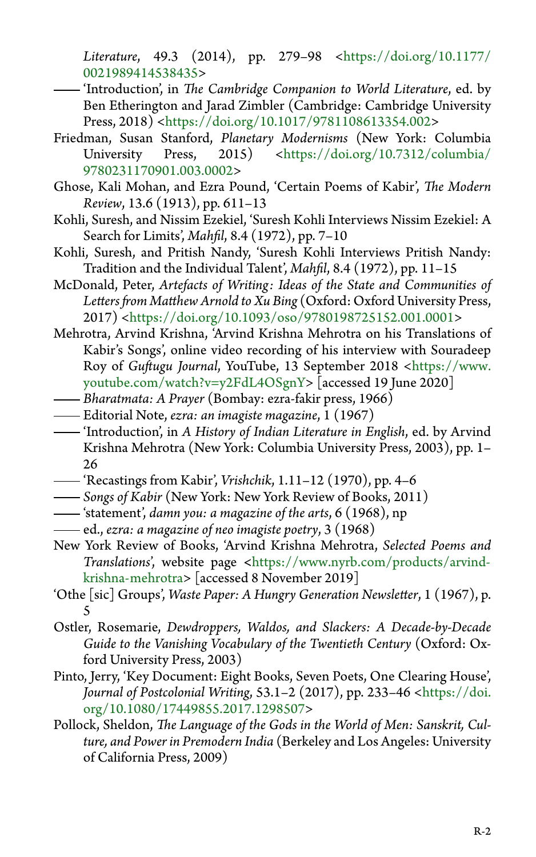*Literature*, 49.3 (2014), pp. 279–98 <[https://doi.org/10.1177/](https://doi.org/10.1177/0021989414538435) [0021989414538435](https://doi.org/10.1177/0021989414538435)>

- 'Introduction', in *The Cambridge Companion to World Literature*, ed. by Ben Etherington and Jarad Zimbler (Cambridge: Cambridge University Press, 2018) [<https://doi.org/10.1017/9781108613354.002>](https://doi.org/10.1017/9781108613354.002)
- Friedman, Susan Stanford, *Planetary Modernisms* (New York: Columbia University Press, 2015) <[https://doi.org/10.7312/columbia/](https://doi.org/10.7312/columbia/9780231170901.003.0002) [9780231170901.003.0002>](https://doi.org/10.7312/columbia/9780231170901.003.0002)
- Ghose, Kali Mohan, and Ezra Pound, 'Certain Poems of Kabir', *The Modern Review*, 13.6 (1913), pp. 611–13
- Kohli, Suresh, and Nissim Ezekiel, 'Suresh Kohli Interviews Nissim Ezekiel: A Search for Limits', *Mahfil*, 8.4 (1972), pp. 7–10
- Kohli, Suresh, and Pritish Nandy, 'Suresh Kohli Interviews Pritish Nandy: Tradition and the Individual Talent', *Mahfil*, 8.4 (1972), pp. 11–15
- McDonald, Peter, *Artefacts of Writing: Ideas of the State and Communities of Letters from Matthew Arnold to Xu Bing* (Oxford: Oxford University Press, 2017) [<https://doi.org/10.1093/oso/9780198725152.001.0001](https://doi.org/10.1093/oso/9780198725152.001.0001)>
- Mehrotra, Arvind Krishna, 'Arvind Krishna Mehrotra on his Translations of Kabir's Songs', online video recording of his interview with Souradeep Roy of *Guftugu Journal*, YouTube, 13 September 2018 <[https://www.](https://www.youtube.com/watch?v=y2FdL4OSgnY) [youtube.com/watch?v=y2FdL4OSgnY](https://www.youtube.com/watch?v=y2FdL4OSgnY)> [accessed 19 June 2020]
- *Bharatmata: A Prayer* (Bombay: ezra-fakir press, 1966)
- Editorial Note, *ezra: an imagiste magazine*, 1 (1967)
- 'Introduction', in *A History of Indian Literature in English*, ed. by Arvind Krishna Mehrotra (New York: Columbia University Press, 2003), pp. 1– 26
- 'Recastings from Kabir', *Vrishchik*, 1.11–12 (1970), pp. 4–6
- *Songs of Kabir* (New York: New York Review of Books, 2011)
- 'statement', *damn you: a magazine of the arts*, 6 (1968), np
- ed., *ezra: a magazine of neo imagiste poetry*, 3 (1968)
- New York Review of Books, 'Arvind Krishna Mehrotra, *Selected Poems and Translations*', website page <[https://www.nyrb.com/products/arvind](https://www.nyrb.com/products/arvind-krishna-mehrotra)[krishna-mehrotra](https://www.nyrb.com/products/arvind-krishna-mehrotra)> [accessed 8 November 2019]
- 'Othe [sic] Groups', *Waste Paper: A Hungry Generation Newsletter*, 1 (1967), p. 5
- Ostler, Rosemarie, *Dewdroppers, Waldos, and Slackers: A Decade-by-Decade Guide to the Vanishing Vocabulary of the Twentieth Century* (Oxford: Oxford University Press, 2003)
- Pinto, Jerry, 'Key Document: Eight Books, Seven Poets, One Clearing House', *Journal of Postcolonial Writing*, 53.1–2 (2017), pp. 233–46 <[https://doi.](https://doi.org/10.1080/17449855.2017.1298507) [org/10.1080/17449855.2017.1298507>](https://doi.org/10.1080/17449855.2017.1298507)
- Pollock, Sheldon, *The Language of the Gods in the World of Men: Sanskrit, Culture, and Power in Premodern India* (Berkeley and Los Angeles: University of California Press, 2009)